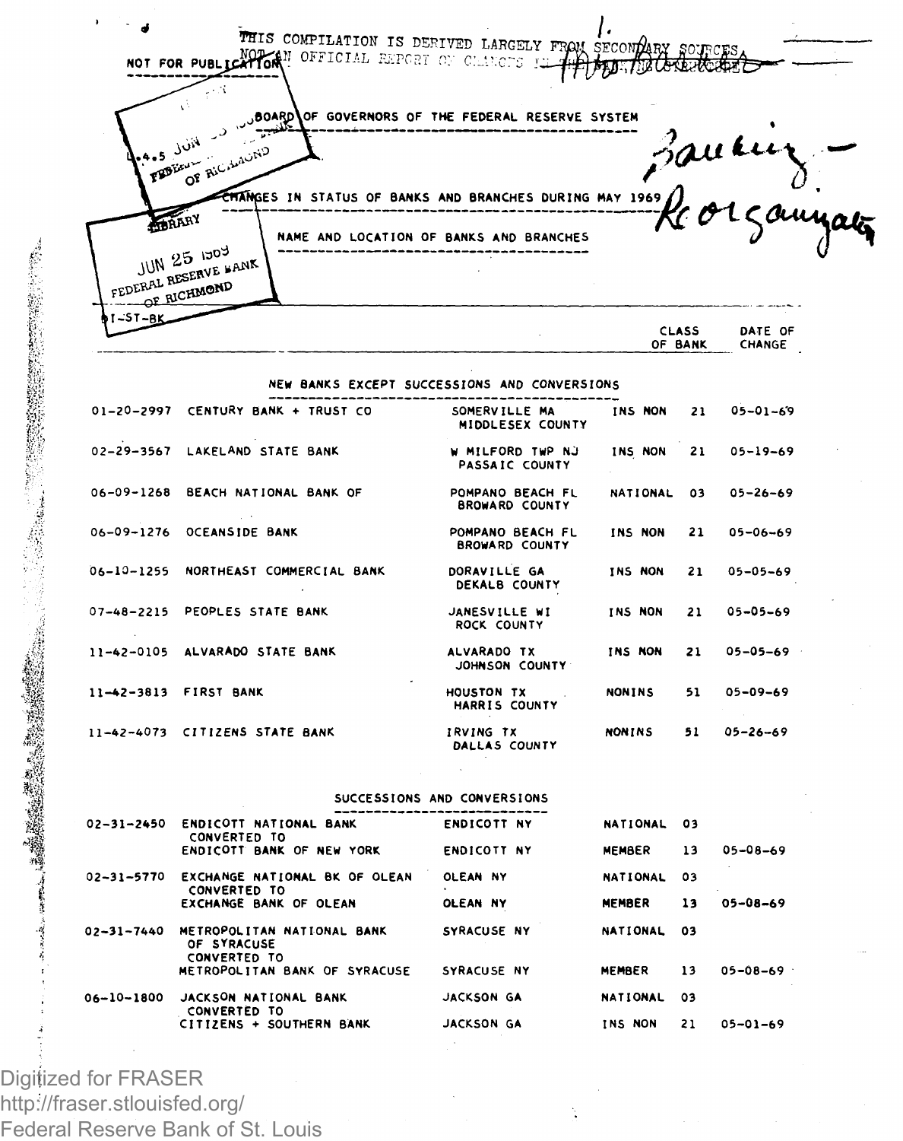THIS COMPILATION IS DERIVED LARGELY FROM SECOND NOT FOR PUBLICATION **N OFFICIAL REPORT ON C:** iters

,OF GOVERNORS OF THE FEDERAL RESERVE SYSTEM ىر ستنكفتهم **OF** Ric ES IN STATUS OF BANKS AND BRANCHES DURING MAY 1969  $\blacktriangle$ **TRARY** NAME AND LOCATION OF BANKS AND BRANCHES *~~\$c*  JUN 25 1303 JUN 25 1509<br>FEDERAL RESERVE FANK OF RICHMOND

| -ST-BK_ |              |         |  |
|---------|--------------|---------|--|
|         | <b>CLASS</b> | DATE OF |  |
|         | OF BANK      | CHANGE  |  |
|         |              |         |  |

NEW BANKS EXCEPT SUCCESSIONS AND CONVERSIONS

| $01 - 20 - 2997$ | CENTURY BANK + TRUST CO        | SOMERVILLE MA<br>MIDDLESEX COUNTY         | INS NON       | 21 | $05 - 01 - 69$ |
|------------------|--------------------------------|-------------------------------------------|---------------|----|----------------|
|                  | 02-29-3567 LAKELAND STATE BANK | W MILFORD TWP NJ<br>PASSAIC COUNTY        | INS NON       | 21 | $05 - 19 - 69$ |
| $06 - 09 - 1268$ | BEACH NATIONAL BANK OF         | POMPANO BEACH FL<br><b>BROWARD COUNTY</b> | NATIONAL      | 03 | $05 - 26 - 69$ |
|                  | 06-09-1276 OCEANSIDE BANK      | POMPANO BEACH FL<br><b>BROWARD COUNTY</b> | INS NON       | 21 | $05 - 06 - 69$ |
| 06-10-1255       | NORTHEAST COMMERCIAL BANK      | DORAVILLE GA<br>DEKALB COUNTY             | INS NON       | 21 | $05 - 05 - 69$ |
| $07 - 48 - 2215$ | PEOPLES STATE BANK             | JANESVILLE WI<br><b>ROCK COUNTY</b>       | INS NON       | 21 | $05 - 05 - 69$ |
| $11 - 42 - 0105$ | ALVARADO STATE BANK            | ALVARADO TX<br>JOHNSON COUNTY             | INS NON       | 21 | $05 - 05 - 69$ |
| $11 - 42 - 3813$ | <b>FIRST BANK</b>              | <b>HOUSTON TX</b><br>HARRIS COUNTY        | <b>NONINS</b> | 51 | $05 - 09 - 69$ |
| $11 - 42 - 4073$ | <b>CITIZENS STATE BANK</b>     | <b>IRVING TX</b><br>DALLAS COUNTY         | <b>NONTNS</b> | 51 | $05 - 26 - 69$ |

SUCCESSIONS AND CONVERSIONS

| J. | $02 - 31 - 2450$ | ENDICOTT NATIONAL BANK<br><b>CONVERTED TO</b>                    | <b>ENDICOTT NY</b> | NATIONAL 03     |     |                |
|----|------------------|------------------------------------------------------------------|--------------------|-----------------|-----|----------------|
| 變變 |                  | ENDICOTT BANK OF NEW YORK                                        | <b>ENDICOTT NY</b> | MEMBER          | 13  | $05 - 08 - 69$ |
|    | $02 - 31 - 5770$ | EXCHANGE NATIONAL BK OF OLEAN<br><b>CONVERTED TO</b>             | OLEAN NY           | NATIONAL        | 03  |                |
|    |                  | EXCHANGE BANK OF OLEAN                                           | OLEAN NY           | MEMBER          | 13  | $05 - 08 - 69$ |
|    | $02 - 31 - 7440$ | METROPOLITAN NATIONAL BANK<br>OF SYRACUSE<br><b>CONVERTED TO</b> | SYRACUSE NY        | NATIONAL 03     |     |                |
|    |                  | METROPOLITAN BANK OF SYRACUSE                                    | SYRACUSE NY        | MEMBER          | 13  | $05 - 08 - 69$ |
|    | $06 - 10 - 1800$ | JACKSON NATIONAL BANK<br><b>CONVERTED TO</b>                     | JACKSON GA         | <b>NATIONAL</b> | -03 |                |
|    |                  | CITIZENS + SOUTHERN BANK                                         | JACKSON GA         | INS NON         | 21  | $05 - 01 - 69$ |
|    |                  |                                                                  |                    |                 |     |                |

Digitized for FRASER http://fraser.stlouisfed.org/ Federal Reserve Bank of St. Louis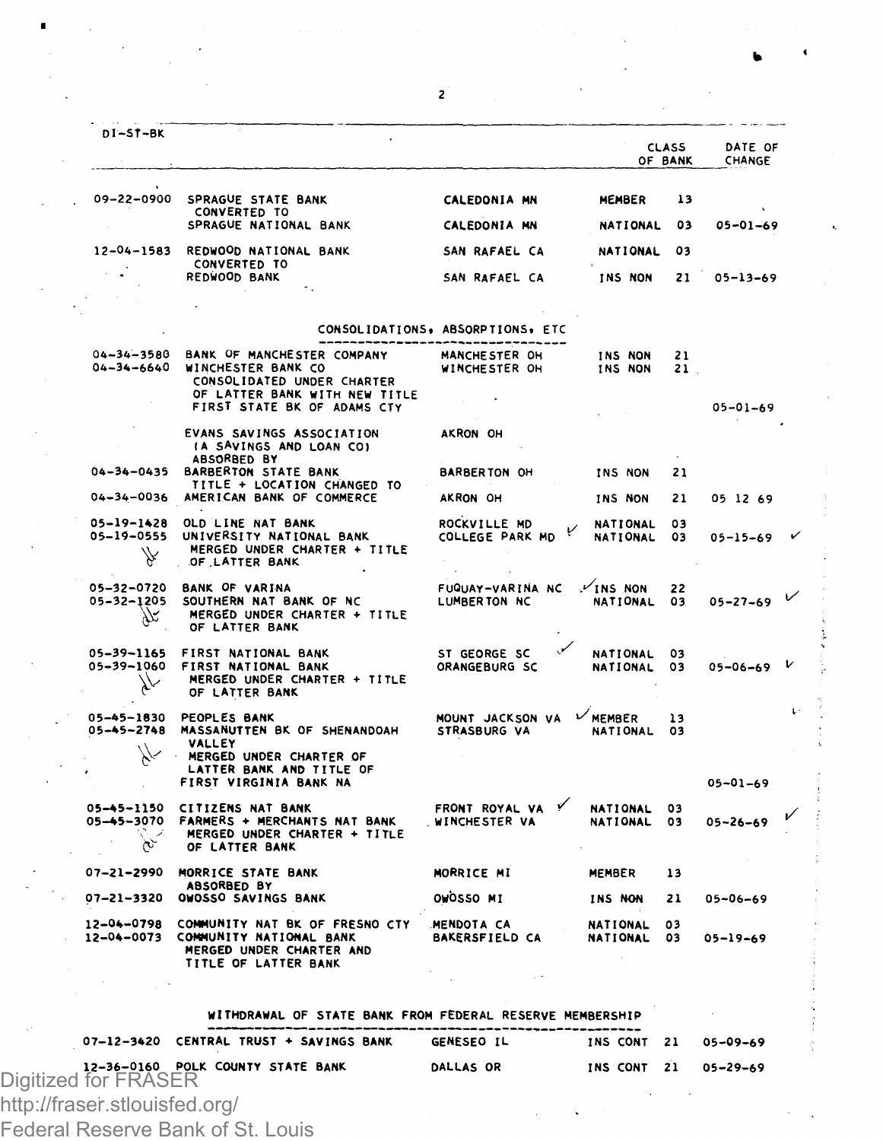|                                              |                                                                                                               |                                         |                                    | <b>CLASS</b><br>OF BANK | DATE OF<br>CHANGE |   |
|----------------------------------------------|---------------------------------------------------------------------------------------------------------------|-----------------------------------------|------------------------------------|-------------------------|-------------------|---|
| 09-22-0900                                   | SPRAGUE STATE BANK<br>CONVERTED TO                                                                            | <b>CALEDONIA MN</b>                     | MEMBER                             | 13                      |                   |   |
|                                              | SPRAGUE NATIONAL BANK                                                                                         | CALEDONIA MN                            | <b>NATIONAL</b>                    | 03                      | $05 - 01 - 69$    |   |
| $12 - 04 - 1583$                             | REDWOOD NATIONAL BANK<br>CONVERTED TO                                                                         | SAN RAFAEL CA                           | NATIONAL                           | 03                      |                   |   |
|                                              | REDWOOD BANK                                                                                                  | SAN RAFAEL CA                           | INS NON                            | 21                      | 05-13-69          |   |
|                                              |                                                                                                               |                                         |                                    |                         |                   |   |
|                                              |                                                                                                               | CONSOLIDATIONS, ABSORPTIONS, ETC        |                                    |                         |                   |   |
|                                              |                                                                                                               | ------------------------------          |                                    |                         |                   |   |
| 04-34-3580<br>04-34-6640                     | BANK OF MANCHESTER COMPANY<br><b>WINCHESTER BANK CO</b><br>CONSOLIDATED UNDER CHARTER                         | <b>MANCHESTER OH</b><br>WINCHESTER OH   | INS NON<br>INS NON                 | 21<br>21.               |                   |   |
|                                              | OF LATTER BANK WITH NEW TITLE<br>FIRST STATE BK OF ADAMS CTY                                                  |                                         |                                    |                         | $05 - 01 - 69$    |   |
|                                              | EVANS SAVINGS ASSOCIATION<br>(A SAVINGS AND LOAN CO)                                                          | AKRON OH                                |                                    |                         |                   |   |
| 04-34-0435                                   | ABSORBED BY<br><b>BARBERTON STATE BANK</b>                                                                    | <b>BARBERTON OH</b>                     | INS NON                            | 21                      |                   |   |
| 04-34-0036                                   | TITLE + LOCATION CHANGED TO<br>AMERICAN BANK OF COMMERCE                                                      | AKRON OH                                | INS NON                            | 21                      | 05 12 69          |   |
| 05-19-1428<br>05-19-0555                     | OLD LINE NAT BANK<br>UNIVERSITY NATIONAL BANK                                                                 | ROCKVILLE MD<br>COLLEGE PARK MD         | <b>NATIONAL</b><br><b>NATIONAL</b> | 03<br>03                | $05 - 15 - 69$    |   |
|                                              | MERGED UNDER CHARTER + TITLE<br>OF LATTER BANK                                                                |                                         |                                    |                         |                   |   |
| 05-32-1205<br>X                              | 05-32-0720 BANK OF VARINA<br>SOUTHERN NAT BANK OF NC<br>MERGED UNDER CHARTER + TITLE<br>OF LATTER BANK        | FUQUAY-VARINA NC<br>LUMBERTON NC        | $\checkmark$ INS NON<br>NATIONAL   | 22<br>03                | $05 - 27 - 69$    |   |
| 05-39-1165<br>05-39-1060<br>$\lambda^{\vee}$ | FIRST NATIONAL BANK<br>FIRST NATIONAL BANK<br>MERGED UNDER CHARTER + TITLE<br>OF LATTER BANK                  | ST GEORGE SC<br>ORANGEBURG SC           | NATIONAL<br>NATIONAL               | 03<br>03                | $05 - 06 - 69$    | ◡ |
| 05-45-1830<br>05-45-2748                     | PEOPLES BANK<br>MASSANUTTEN BK OF SHENANDOAH                                                                  | MOUNT JACKSON VA<br><b>STRASBURG VA</b> | $\nu$ MEMBER<br>NATIONAL           | 13<br>O3                |                   |   |
|                                              | VALLEY<br>MERGED UNDER CHARTER OF                                                                             |                                         |                                    |                         |                   |   |
|                                              | LATTER BANK AND TITLE OF<br>FIRST VIRGINIA BANK NA                                                            |                                         |                                    |                         | $05 - 01 - 69$    |   |
| 05-45-1150<br>05-45-3070<br>ىچ               | <b>CITIZENS NAT BANK</b><br>FARMERS + MERCHANTS NAT BANK<br>MERGED UNDER CHARTER + TITLE<br>OF LATTER BANK    | FRONT ROYAL VA<br>. WINCHESTER VA       | <b>NATIONAL</b><br><b>NATIONAL</b> | 03<br>03                | $05 - 26 - 69$    |   |
| 07-21-2990                                   | MORRICE STATE BANK                                                                                            | MORRICE MI                              | <b>MEMBER</b>                      | 13                      |                   |   |
| 07-21-3320                                   | <b>ABSORBED BY</b><br>OWOSSO SAVINGS BANK                                                                     | OWOSSO MI                               | INS NON                            | 21                      | $05 - 06 - 69$    |   |
| 12-04-0798<br>12-04-0073                     | COMMUNITY NAT BK OF FRESNO CTY<br>COMMUNITY NATIONAL BANK<br>MERGED UNDER CHARTER AND<br>TITLE OF LATTER BANK | MENDOTA CA<br><b>BAKERSFIELD CA</b>     | <b>NATIONAL</b><br><b>NATIONAL</b> | 03<br>03                | $05 - 19 - 69$    |   |

 $\overline{a}$ 

|  | 07-12-3420 CENTRAL TRUST + SAVINGS BANK                   | <b>GENESEO IL</b> | INS CONT 21 | 05-09-69 |
|--|-----------------------------------------------------------|-------------------|-------------|----------|
|  | 12-36-0160 POLK COUNTY STATE BANK<br>Digitized for FRASER | <b>DALLAS OR</b>  | INS CONT 21 | 05-29-69 |
|  |                                                           |                   |             |          |

http://fraser.stlouisfed.org/

Federal Reserve Bank of St. Louis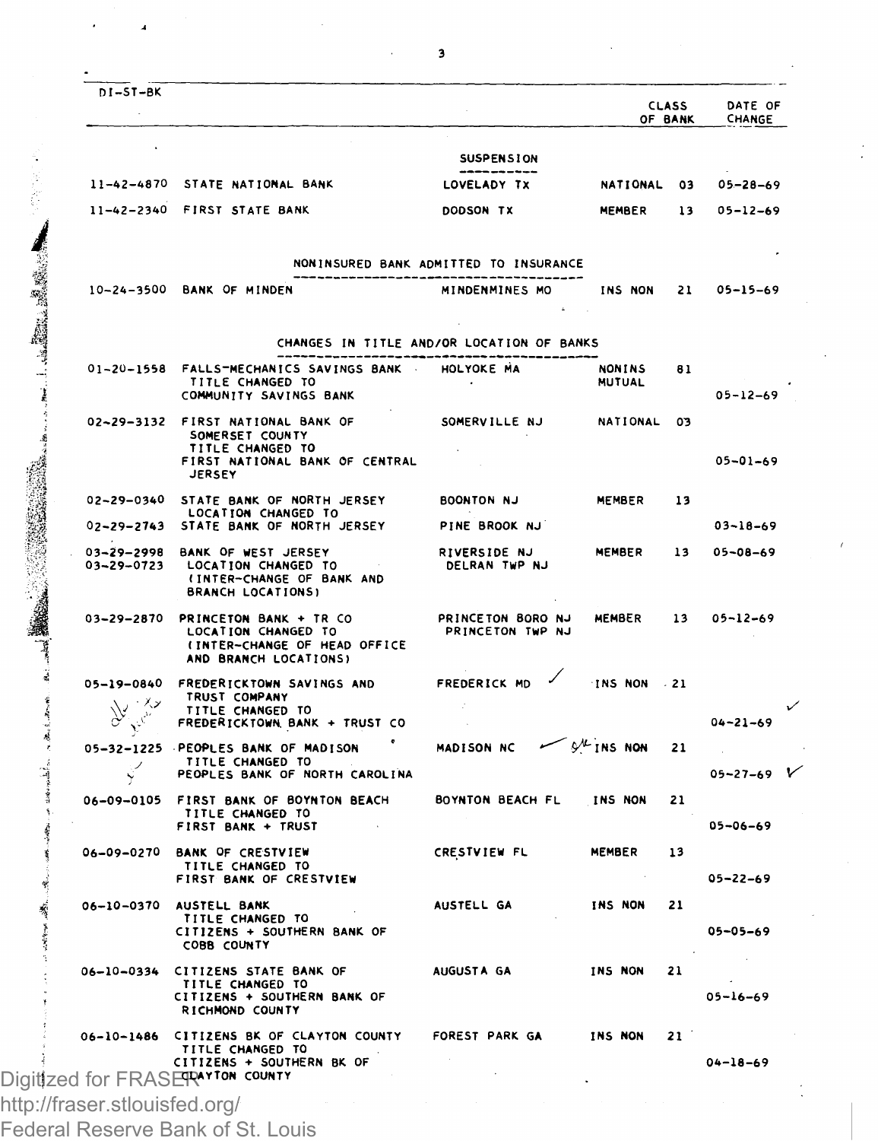|                               |                                                                              |                                           |                            | <b>CLASS</b><br>OF BANK | DATE OF<br>CHANGE |
|-------------------------------|------------------------------------------------------------------------------|-------------------------------------------|----------------------------|-------------------------|-------------------|
|                               |                                                                              | SUSPENSION                                |                            |                         |                   |
| $11 - 42 - 4870$              | STATE NATIONAL BANK                                                          | LOVELADY TX                               | NATIONAL                   | 03                      | $05 - 28 - 69$    |
|                               | 11-42-2340 FIRST STATE BANK                                                  | DODSON TX                                 | MEMBER                     | 13                      | 05-12-69          |
|                               |                                                                              |                                           |                            |                         |                   |
|                               |                                                                              | NONINSURED BANK ADMITTED TO INSURANCE     |                            |                         |                   |
|                               | 10-24-3500 BANK OF MINDEN                                                    | MINDENMINES MO                            | INS NON                    | 21                      | $05 - 15 - 69$    |
|                               |                                                                              | CHANGES IN TITLE AND/OR LOCATION OF BANKS |                            |                         |                   |
|                               | 01-20-1558 FALLS-MECHANICS SAVINGS BANK                                      | HOLYOKE MA                                | NONTNS                     | 81                      |                   |
|                               | TITLE CHANGED TO<br>COMMUNITY SAVINGS BANK                                   |                                           | <b>MUTUAL</b>              |                         | $05 - 12 - 69$    |
|                               | 02~29-3132 FIRST NATIONAL BANK OF                                            | SOMERVILLE NJ                             | NATIONAL                   | 03                      |                   |
|                               | SOMERSET COUNTY<br>TITLE CHANGED TO                                          |                                           |                            |                         | $05 - 01 - 69$    |
|                               | FIRST NATIONAL BANK OF CENTRAL<br><b>JERSEY</b>                              |                                           |                            |                         |                   |
| 02-29-0340                    | STATE BANK OF NORTH JERSEY                                                   | <b>BOONTON NJ</b>                         | MEMBER                     | 13                      |                   |
| $02 - 29 - 2743$              | LOCATION CHANGED TO<br>STATE BANK OF NORTH JERSEY                            | PINE BROOK NJ                             |                            |                         | $03 - 18 - 69$    |
| 03-29-2998                    | BANK OF WEST JERSEY                                                          | <b>RIVERSIDE NJ</b>                       | <b>MEMBER</b>              | 13                      | 05-08-69          |
| 03-29-0723                    | LOCATION CHANGED TO<br>(INTER-CHANGE OF BANK AND<br><b>BRANCH LOCATIONS)</b> | DELRAN TWP NJ                             |                            |                         |                   |
| 03-29-2870                    | PRINCETON BANK + TR CO                                                       | PRINCETON BORO NJ                         | <b>MEMBER</b>              | 13                      | $05 - 12 - 69$    |
|                               | LOCATION CHANGED TO<br>(INTER-CHANGE OF HEAD OFFICE<br>AND BRANCH LOCATIONS) | PRINCETON TWP NJ                          |                            |                         |                   |
| 05-19-0840                    | FREDERICKTOWN SAVINGS AND                                                    | FREDERICK MD                              | INS NON                    | .21                     |                   |
| $W^{1/2}$<br>$y^2$            | TRUST COMPANY<br>TITLE CHANGED TO<br>FREDERICKTOWN BANK + TRUST CO           |                                           |                            |                         | $04 - 21 - 69$    |
| $05 - 32 - 1225$              | PEOPLES BANK OF MADISON                                                      | MADISON NC                                | $9^{\prime\prime}$ INS NON | 21                      |                   |
| Ψ                             | TITLE CHANGED TO<br>PEOPLES BANK OF NORTH CAROLINA                           |                                           |                            |                         | 05-27-69          |
| 06-09-0105                    | FIRST BANK OF BOYNTON BEACH                                                  | BOYNTON BEACH FL                          | <b>INS NON</b>             | 21                      |                   |
|                               | TITLE CHANGED TO<br>FIRST BANK + TRUST                                       |                                           |                            |                         | $05 - 06 - 69$    |
| 06-09-0270                    | <b>BANK OF CRESTVIEW</b>                                                     | CRESTVIEW FL                              | <b>MEMBER</b>              | 13                      |                   |
|                               | TITLE CHANGED TO<br>FIRST BANK OF CRESTVIEW                                  |                                           |                            |                         | $05 - 22 - 69$    |
| 06-10-0370                    | AUSTELL BANK                                                                 | AUSTELL GA                                | <b>INS NON</b>             | 21                      |                   |
|                               | TITLE CHANGED TO<br>CITIZENS + SOUTHERN BANK OF<br>COBB COUNTY               |                                           |                            |                         | $05 - 05 - 69$    |
| 06-10-0334                    | CITIZENS STATE BANK OF                                                       | AUGUSTA GA                                | INS NON                    | 21                      |                   |
|                               | TITLE CHANGED TO<br>CITIZENS + SOUTHERN BANK OF<br>RICHMOND COUNTY           |                                           |                            |                         | $05 - 16 - 69$    |
| 06-10-1486                    | CITIZENS BK OF CLAYTON COUNTY                                                | FOREST PARK GA                            | INS NON                    | 21                      |                   |
|                               | TITLE CHANGED TO<br>CITIZENS + SOUTHERN BK OF                                |                                           |                            |                         | $04 - 18 - 69$    |
|                               | Digitized for FRASERNYTON COUNTY                                             |                                           |                            |                         |                   |
| http://fraser.stlouisfed.org/ |                                                                              |                                           |                            |                         |                   |

3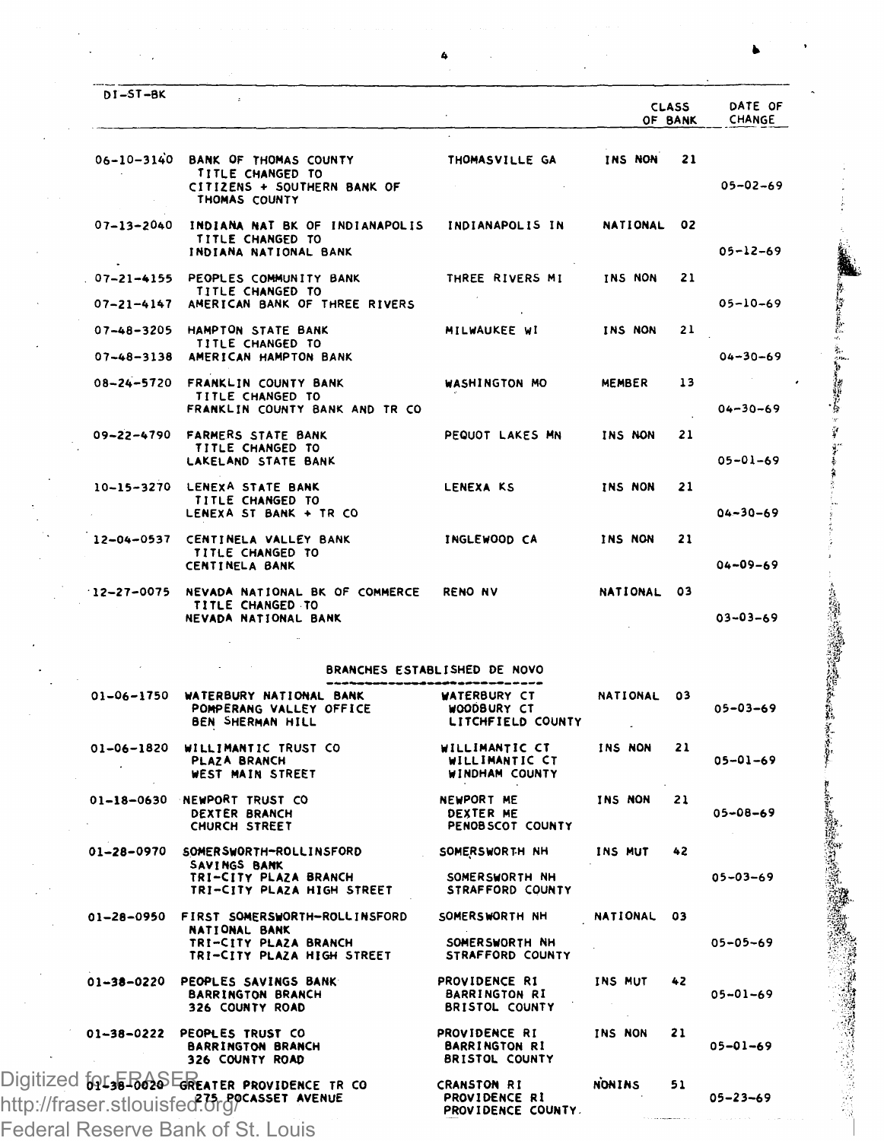| DI-ST-BK                       |                                                                                                       |                                                                                  | OF BANK         | <b>CLASS</b> | DATE OF<br>CHANGE                |
|--------------------------------|-------------------------------------------------------------------------------------------------------|----------------------------------------------------------------------------------|-----------------|--------------|----------------------------------|
| $06 - 10 - 3140$               | BANK OF THOMAS COUNTY<br>TITLE CHANGED TO<br>CITIZENS + SOUTHERN BANK OF<br>THOMAS COUNTY             | THOMASVILLE GA                                                                   | INS NON         | 21           | 05-02-69                         |
| $07 - 13 - 2040$               | INDIANA NAT BK OF INDIANAPOLIS<br>TITLE CHANGED TO<br>INDIANA NATIONAL BANK                           | INDIANAPOLIS IN                                                                  | NATIONAL        | 02           | 05-12-69                         |
| $07 - 21 - 4155$<br>07-21-4147 | PEOPLES COMMUNITY BANK<br>TITLE CHANGED TO<br>AMERICAN BANK OF THREE RIVERS                           | THREE RIVERS MI                                                                  | <b>TNS NON</b>  | 21           | $05 - 10 - 69$                   |
| $07 - 48 - 3205$               | HAMPTON STATE BANK<br>TITLE CHANGED TO                                                                | MILWAUKEE WI                                                                     | INS NON         | 21           |                                  |
| $07 - 48 - 3138$<br>08-24-5720 | AMERICAN HAMPTON BANK<br>FRANKLIN COUNTY BANK<br>TITLE CHANGED TO<br>FRANKLIN COUNTY BANK AND TR CO   | WASHINGTON MO                                                                    | MEMBER          | 13           | $04 - 30 - 69$<br>$04 - 30 - 69$ |
| 09-22-4790                     | <b>FARMERS STATE BANK</b><br>TITLE CHANGED TO<br>LAKELAND STATE BANK                                  | PEQUOT LAKES MN                                                                  | INS NON         | 21           | $05 - 01 - 69$                   |
| 10-15-3270                     | LENEXA STATE BANK<br>TITLE CHANGED TO<br>LENEXA ST BANK + TR CO                                       | <b>LENEXA KS</b>                                                                 | INS NON         | 21           | $04 - 30 - 69$                   |
| 12-04-0537                     | CENTINELA VALLEY BANK<br>TITLE CHANGED TO<br>CENTINELA BANK                                           | INGLEWOOD CA                                                                     | INS NON         | 21           | $04 - 09 - 69$                   |
| $12 - 27 - 0075$               | NEVADA NATIONAL BK OF COMMERCE<br>TITLE CHANGED TO<br><b>NEVADA NATIONAL BANK</b>                     | <b>RENO NV</b>                                                                   | NATIONAL        | 03           | $03 - 03 - 69$                   |
| 01-06-1750                     | WATERBURY NATIONAL BANK<br>POMPERANG VALLEY OFFICE<br><b>BEN SHERMAN HILL</b>                         | BRANCHES ESTABLISHED DE NOVO<br>WATERBURY CT<br>WOODBURY CT<br>LITCHFIELD COUNTY | NATIONAL        | 03           | $05 - 03 - 69$                   |
| 01-06-1820                     | WILLIMANTIC TRUST CO<br>PLAZA BRANCH<br>WEST MAIN STREET                                              | WILLIMANTIC CT<br>WILLIMANTIC CT<br>WINDHAM COUNTY                               | INS NON         | 21           | $05 - 01 - 69$                   |
| 01-18-0630                     | NEWPORT TRUST CO<br>DEXTER BRANCH<br>CHURCH STREET                                                    | <b>NEWPORT ME</b><br>DEXTER ME<br>PENOB SCOT COUNTY                              | INS NON         | 21           | $05 - 08 - 69$                   |
| 01-28-0970                     | SOMERSWORTH-ROLLINSFORD<br>SAVINGS BANK<br>TRI-CITY PLAZA BRANCH<br>TRI-CITY PLAZA HIGH STREET        | SOMERSWORTH NH<br>SOMERSWORTH NH<br>STRAFFORD COUNTY                             | INS MUT         | 42           | $05 - 03 - 69$                   |
| 01-28-0950                     | FIRST SOMERSWORTH-ROLLINSFORD<br>NATIONAL BANK<br>TRI-CITY PLAZA BRANCH<br>TRI-CITY PLAZA HIGH STREET | SOMERSWORTH NH<br>SOMERSWORTH NH<br>STRAFFORD COUNTY                             | <b>NATIONAL</b> | 03           | 05-05-69                         |
| 01-38-0220                     | PEOPLES SAVINGS BANK<br><b>BARRINGTON BRANCH</b><br>326 COUNTY ROAD                                   | PROVIDENCE R1<br><b>BARRINGTON RI</b><br><b>BRISTOL COUNTY</b>                   | INS MUT         | 42           | 05-01-69                         |
| 01-38-0222                     | PEOPLES TRUST CO<br><b>BARRINGTON BRANCH</b><br>326 COUNTY ROAD                                       | PROVIDENCE RI<br><b>BARRINGTON RI</b><br><b>BRISTOL COUNTY</b>                   | <b>TNS NON</b>  | 21           | 05-01-69                         |
|                                | Digitized 69136 B626 EREATER PROVIDENCE TR CO<br>http://fraser.stlouisfed.org/                        | <b>CRANSTON RI</b><br>PROVIDENCE RI                                              | <b>NONINS</b>   | 51           | $05 - 23 - 69$                   |

Ą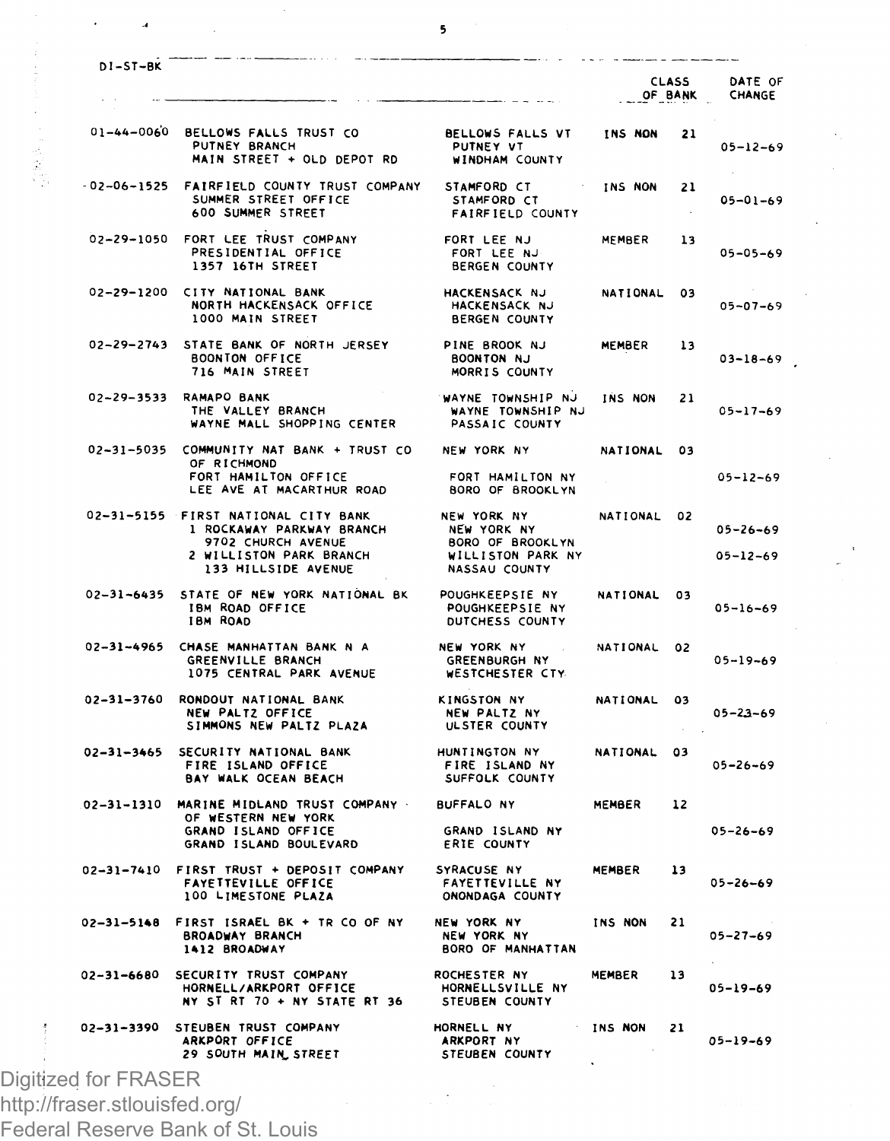|                   |                                                                                                                                          |                                                                                      | OF BANK         | <b>CLASS</b> | DATE OF<br>CHANGE                |
|-------------------|------------------------------------------------------------------------------------------------------------------------------------------|--------------------------------------------------------------------------------------|-----------------|--------------|----------------------------------|
|                   | 01-44-0060 BELLOWS FALLS TRUST CO<br>PUTNEY BRANCH<br>MAIN STREET + OLD DEPOT RD                                                         | BELLOWS FALLS VT<br>PUTNEY VT<br><b>WINDHAM COUNTY</b>                               | INS NON         | 21           | $05 - 12 - 69$                   |
| $-02 - 06 - 1525$ | FAIRFIELD COUNTY TRUST COMPANY<br>SUMMER STREET OFFICE<br>600 SUMMER STREET                                                              | STAMFORD CT<br>STAMFORD CT<br><b>FAIRFIELD COUNTY</b>                                | INS NON         | 21           | $05 - 01 - 69$                   |
|                   | 02-29-1050 FORT LEE TRUST COMPANY<br>PRESIDENTIAL OFFICE<br>1357 16TH STREET                                                             | FORT LEE NJ<br>FORT LEE NJ<br><b>BERGEN COUNTY</b>                                   | MEMBER          | 13           | $05 - 05 - 69$                   |
| 02-29-1200        | CITY NATIONAL BANK<br>NORTH HACKENSACK OFFICE<br>1000 MAIN STREET                                                                        | HACKENSACK NJ<br>HACKENSACK NJ<br><b>BERGEN COUNTY</b>                               | NATIONAL        | 03           | $05 - 07 - 69$                   |
|                   | 02-29-2743 STATE BANK OF NORTH JERSEY<br><b>BOONTON OFFICE</b><br>716 MAIN STREET                                                        | PINE BROOK NJ<br><b>BOONTON NJ</b><br>MORRIS COUNTY                                  | MEMBER          | 13           | $03 - 18 - 69$                   |
|                   | 02-29-3533 RAMAPO BANK<br>THE VALLEY BRANCH<br>WAYNE MALL SHOPPING CENTER                                                                | WAYNE TOWNSHIP NJ<br>WAYNE TOWNSHIP NJ<br>PASSAIC COUNTY                             | INS NON         | 21           | $05 - 17 - 69$                   |
|                   | 02-31-5035 COMMUNITY NAT BANK + TRUST CO<br>OF RICHMOND<br>FORT HAMILTON OFFICE<br>LEE AVE AT MACARTHUR ROAD                             | NEW YORK NY<br>FORT HAMILTON NY<br>BORO OF BROOKLYN                                  | NATIONAL 03     |              | $05 - 12 - 69$                   |
|                   | 02-31-5155 FIRST NATIONAL CITY BANK<br>1 ROCKAWAY PARKWAY BRANCH<br>9702 CHURCH AVENUE<br>2 WILLISTON PARK BRANCH<br>133 HILLSIDE AVENUE | NEW YORK NY<br>NEW YORK NY<br>BORO OF BROOKLYN<br>WILLISTON PARK NY<br>NASSAU COUNTY | NATIONAL 02     |              | $05 - 26 - 69$<br>$05 - 12 - 69$ |
|                   | 02-31-6435 STATE OF NEW YORK NATIONAL BK<br>IBM ROAD OFFICE<br><b>IBM ROAD</b>                                                           | POUGHKEEPSIE NY<br>POUGHKEEPSIE NY<br>DUTCHESS COUNTY                                | NATIONAL 03     |              | $05 - 16 - 69$                   |
| 02-31-4965        | CHASE MANHATTAN BANK N A<br>GREENVILLE BRANCH<br>1075 CENTRAL PARK AVENUE                                                                | NEW YORK NY<br><b>GREENBURGH NY</b><br>WESTCHESTER CTY                               | NATIONAL        | 02           | $05 - 19 - 69$                   |
|                   | 02-31-3760 RONDOUT NATIONAL BANK<br>NEW PALTZ OFFICE<br>SIMMONS NEW PALTZ PLAZA                                                          | KINGSTON NY<br>NEW PALTZ NY<br>ULSTER COUNTY                                         | <b>NATIONAL</b> | 03           | $05 - 23 - 69$                   |
| $02 - 31 - 3465$  | SECURITY NATIONAL BANK<br>FIRE ISLAND OFFICE<br>BAY WALK OCEAN BEACH                                                                     | HUNTINGTON NY<br>FIRE ISLAND NY<br>SUFFOLK COUNTY                                    | NATIONAL        | 03           | $05 - 26 - 69$                   |
|                   | 02-31-1310 MARINE MIDLAND TRUST COMPANY<br>OF WESTERN NEW YORK<br>GRAND ISLAND OFFICE<br>GRAND ISLAND BOULEVARD                          | <b>BUFFALO NY</b><br>GRAND ISLAND NY<br><b>ERIE COUNTY</b>                           | <b>MEMBER</b>   | 12           | $05 - 26 - 69$                   |
| 02-31-7410        | FIRST TRUST + DEPOSIT COMPANY<br>FAYETTEVILLE OFFICE<br>100 LIMESTONE PLAZA                                                              | SYRACUSE NY<br><b>FAYETTEVILLE NY</b><br>ONONDAGA COUNTY                             | MEMBER          | 13           | $05 - 26 - 69$                   |
|                   | 02-31-5148 FIRST ISRAEL BK + TR CO OF NY<br><b>BROADWAY BRANCH</b><br>1412 BROADWAY                                                      | NEW YORK NY<br>NEW YORK NY<br>BORO OF MANHATTAN                                      | INS NON         | 21           | $05 - 27 - 69$                   |
|                   | 02-31-6680 SECURITY TRUST COMPANY<br>HORNELL/ARKPORT OFFICE<br>NY ST RT 70 + NY STATE RT 36                                              | <b>ROCHESTER NY</b><br>HORNELLSVILLE NY<br>STEUBEN COUNTY                            | MEMBER          | 13           | $05 - 19 - 69$                   |
| 02-31-3390        | STEUBEN TRUST COMPANY<br>ARKPORT OFFICE                                                                                                  | HORNELL NY<br>ARKPORT NY                                                             | INS NON         | 21           | $05 - 19 - 69$                   |

http://fraser.stlouisfed.org/

 $\cdot$ ă

Federal Reserve Bank of St. Louis

 $\overline{\phantom{a}}$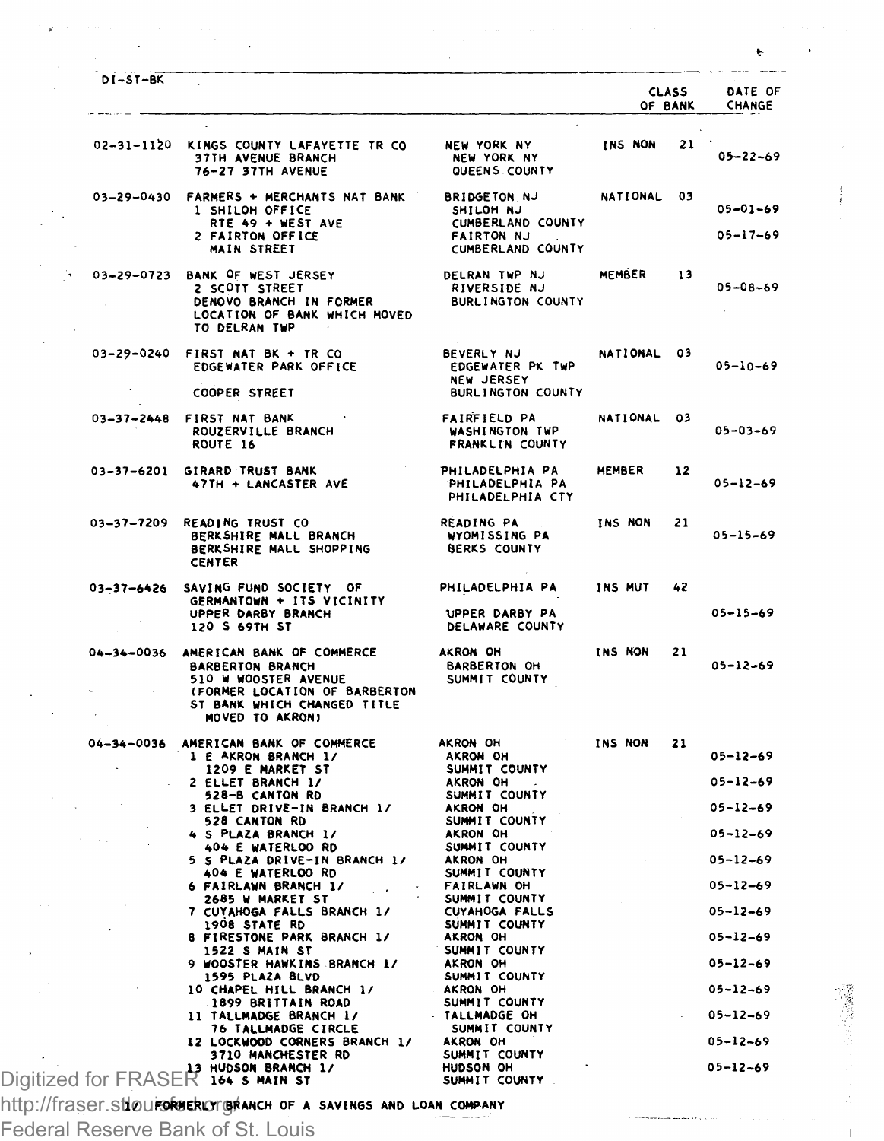| DI-ST-BK         |                                                                                                                                                                                                                                  |                                                                                                 |                |                         |                                  |
|------------------|----------------------------------------------------------------------------------------------------------------------------------------------------------------------------------------------------------------------------------|-------------------------------------------------------------------------------------------------|----------------|-------------------------|----------------------------------|
|                  |                                                                                                                                                                                                                                  |                                                                                                 |                | <b>CLASS</b><br>OF BANK | DATE OF<br>CHANGE                |
|                  | 02-31-1120 KINGS COUNTY LAFAYETTE TR CO<br>37TH AVENUE BRANCH<br>76-27 37TH AVENUE                                                                                                                                               | <b>NEW YORK NY</b><br>NEW YORK NY<br>QUEENS COUNTY                                              | <b>INS NON</b> | 21                      | $05 - 22 - 69$                   |
|                  | 03-29-0430 FARMERS + MERCHANTS NAT BANK<br>1 SHILOH OFFICE<br>RTE 49 + WEST AVE<br>2 FAIRTON OFFICE<br>MAIN STREET                                                                                                               | <b>BRIDGETON NJ</b><br>SHILOH NJ<br>CUMBERLAND COUNTY<br><b>FAIRTON NJ</b><br>CUMBERLAND COUNTY | NATIONAL 03    |                         | $05 - 01 - 69$<br>$05 - 17 - 69$ |
|                  | 03-29-0723 BANK OF WEST JERSEY<br>2 SCOTT STREET<br>DENOVO BRANCH IN FORMER<br>LOCATION OF BANK WHICH MOVED<br>TO DELRAN TWP                                                                                                     | DELRAN TWP NJ<br>RIVERSIDE NJ<br>BURLINGTON COUNTY                                              | MEMBER 13      |                         | $05 - 08 - 69$                   |
|                  | 03-29-0240 FIRST NAT BK + TR CO<br>EDGEWATER PARK OFFICE<br>COOPER STREET                                                                                                                                                        | <b>BEVERLY NJ</b><br>EDGEWATER PK TWP<br><b>NEW JERSEY</b><br>BURLINGTON COUNTY                 | NATIONAL 03    |                         | $05 - 10 - 69$                   |
|                  | 03-37-2448 FIRST NAT BANK<br>ROUZERVILLE BRANCH<br>ROUTE 16                                                                                                                                                                      | <b>FAIRFIELD PA</b><br>WASHINGTON TWP<br>FRANKLIN COUNTY                                        | NATIONAL 03    |                         | $05 - 03 - 69$                   |
|                  | 03-37-6201 GIRARD TRUST BANK<br>47TH + LANCASTER AVE                                                                                                                                                                             | PHILADELPHIA PA<br>PHILADELPHIA PA<br>PHILADELPHIA CTY                                          | <b>MEMBER</b>  | $12 \overline{ }$       | $05 - 12 - 69$                   |
|                  | 03-37-7209 READING TRUST CO<br>BERKSHIRE MALL BRANCH<br>BERKSHIRE MALL BRANCH<br>BERKSHIRE MALL SHOPPING<br><b>CENTER</b>                                                                                                        | READING PA<br>WYOMISSING PA<br><b>BERKS COUNTY</b>                                              | INS NON        | 21                      | $05 - 15 - 69$                   |
| $03 - 37 - 6426$ | SAVING FUND SOCIETY OF<br>GERMANTOWN + ITS VICINITY<br>UPPER DARBY BRANCH<br>120 S 69TH ST                                                                                                                                       | PHILADELPHIA PA<br>UPPER DARBY PA<br>DELAWARE COUNTY                                            | INS MUT        | 42                      | $05 - 15 - 69$                   |
|                  | 04-34-0036 AMERICAN BANK OF COMMERCE<br><b>BARBERTON BRANCH</b><br>510 W WOOSTER AVENUE<br>(FORMER LOCATION OF BARBERTON<br>ST BANK WHICH CHANGED TITLE<br>MOVED TO AKRONI                                                       | AKRON OH<br><b>BARBERTON OH</b><br>SUMMIT COUNTY                                                | INS NON        | 21                      | $05 - 12 - 69$                   |
| 04-34-0036       | AMERICAN BANK OF COMMERCE<br>1 E AKRON BRANCH 1/                                                                                                                                                                                 | AKRON OH<br>AKRON OH                                                                            | INS NON        | 21                      | $05 - 12 - 69$                   |
|                  | 1209 E MARKET ST                                                                                                                                                                                                                 | SUMMIT COUNTY                                                                                   |                |                         |                                  |
|                  |                                                                                                                                                                                                                                  |                                                                                                 |                |                         | $05 - 12 - 69$                   |
|                  |                                                                                                                                                                                                                                  |                                                                                                 |                |                         | $05 - 12 - 69$                   |
|                  |                                                                                                                                                                                                                                  |                                                                                                 |                |                         | $05 - 12 - 69$                   |
|                  | SELLE CRIVER BRANCH 1/<br>SERVICE CRIVER IN A SPACE OF A SPACE OF A SPACE OF A SPACE OF A SPACE OF A SPACE OF A SPACE OF A SPACE OF A SPACE OF A SPACE OF A SPACE OF A SPACE OF A SPACE OF A SPACE OF A SPACE OF A SPACE OF A SP |                                                                                                 |                |                         | $05 - 12 - 69$                   |
|                  | 2685 W MARKET ST                                                                                                                                                                                                                 | SUMMIT COUNTY                                                                                   |                |                         | $05 - 12 - 69$                   |
|                  | 7 CUYAHOGA FALLS BRANCH 1/<br>1908 STATE RD                                                                                                                                                                                      | CUYAHOGA FALLS<br>SUMMIT COUNTY                                                                 |                |                         | 05-12-69                         |
|                  | 8 FIRESTONE PARK BRANCH 1/                                                                                                                                                                                                       | AKRON OH<br>SUMMIT COUNTY                                                                       |                |                         | $05 - 12 - 69$                   |
|                  | 1522 S MAIN ST<br>9 WOOSTER HAWKINS BRANCH 1/                                                                                                                                                                                    | AKRON OH<br>SUMMIT COUNTY                                                                       |                |                         | $05 - 12 - 69$                   |
|                  | 1595 PLAZA BLVD<br>10 CHAPEL HILL BRANCH 1/                                                                                                                                                                                      | AKRON OH                                                                                        |                |                         | $05 - 12 - 69$                   |
|                  | 1899 BRITTAIN ROAD<br>11 TALLMADGE BRANCH 1/                                                                                                                                                                                     | SUMMIT COUNTY<br>TALLMADGE OH                                                                   |                |                         | $05 - 12 - 69$                   |
|                  | TO TALLMADGE CIRCLE<br>LOCKHOOD COLLECTION<br>76 TALLMADGE CIRCLE<br>12 LOCKWOOD CORNERS BRANCH 1/ AKRON OH<br>3710 MANCHESTER RD                                                                                                | SUMMIT COUNTY                                                                                   |                |                         | $05 - 12 - 69$                   |
|                  | 3710 MANCHESTER RD<br>HUDSON BRANCH 1/                                                                                                                                                                                           | SUMMIT COUNTY<br>HUDSON OH                                                                      |                |                         | $05 - 12 - 69$                   |
|                  | Digitized for FRASER 164 s main st                                                                                                                                                                                               | SUMMIT COUNTY                                                                                   |                |                         |                                  |

http://fraser.s**tloui<del>.</del>gruer.org/fanch of a savings and loan company** 

Federal Reserve Bank of St. Louis

 $\sim$ 

 $\bar{z}$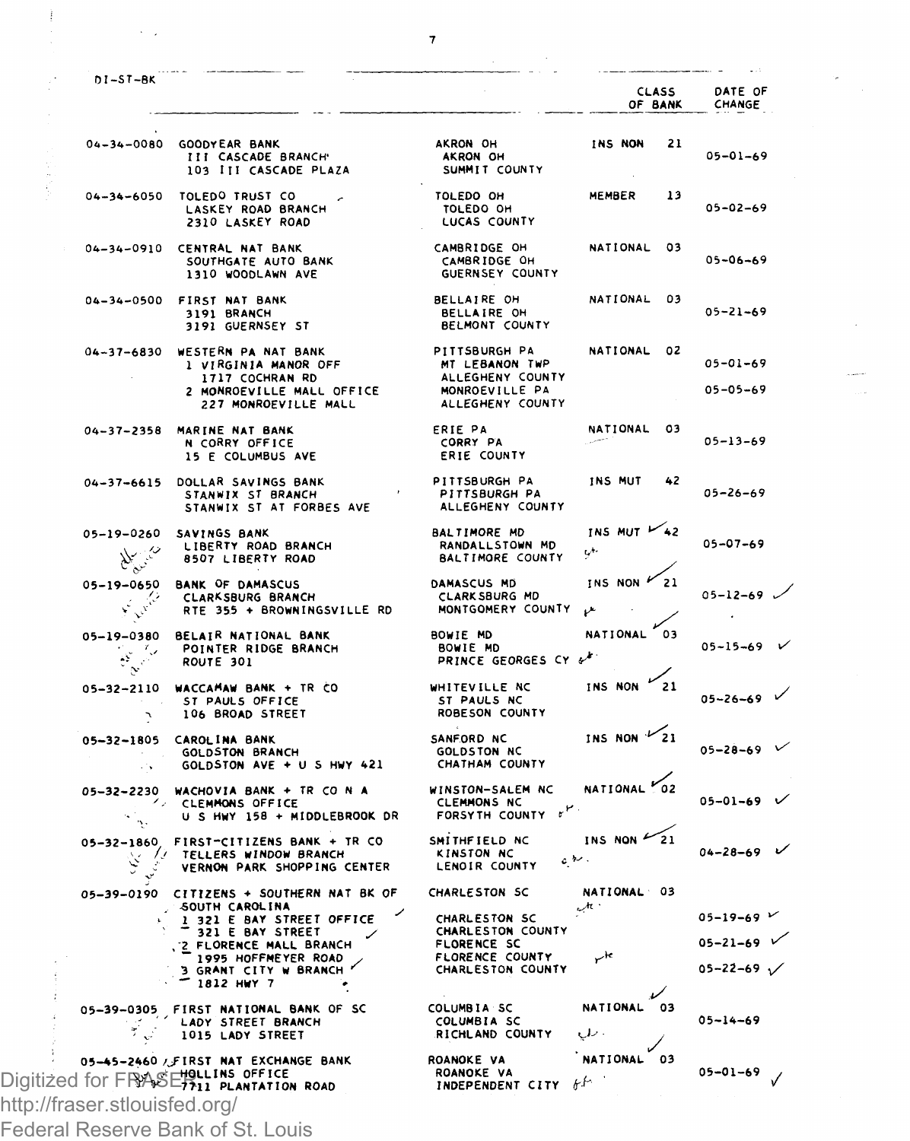|                                                             |                                                                                             |                                                                                | <b>CLASS</b><br>OF BANK     | DATE OF<br>CHANGE                                        |
|-------------------------------------------------------------|---------------------------------------------------------------------------------------------|--------------------------------------------------------------------------------|-----------------------------|----------------------------------------------------------|
| $04 - 34 - 0080$                                            | GOODYEAR BANK<br>III CASCADE BRANCH<br>103 III CASCADE PLAZA                                | AKRON OH<br>AKRON OH<br>SUMMIT COUNTY                                          | INS NON<br>21               | $05 - 01 - 69$                                           |
| $04 - 34 - 6050$                                            | TOLEDO TRUST CO<br>LASKEY ROAD BRANCH<br>2310 LASKEY ROAD                                   | TOLEDO OH<br>TOLEDO OH<br>LUCAS COUNTY                                         | MEMBER<br>13                | $05 - 02 - 69$                                           |
| $04 - 34 - 0910$                                            | CENTRAL NAT BANK<br>SOUTHGATE AUTO BANK<br>1310 WOODLAWN AVE                                | CAMBRIDGE OH<br>CAMBRIDGE OH<br>GUERNSEY COUNTY                                | 03<br>NATIONAL              | $05 - 06 - 69$                                           |
| $04 - 34 - 0500$                                            | FIRST NAT BANK<br>3191 BRANCH<br>3191 GUERNSEY ST                                           | BELLAIRE OH<br>BELLAIRE OH<br>BELMONT COUNTY                                   | NATIONAL<br>03              | $05 - 21 - 69$                                           |
| 04-37-6830                                                  | WESTERN PA NAT BANK<br>1 VIRGINIA MANOR OFF<br>1717 COCHRAN RD<br>2 MONROEVILLE MALL OFFICE | PITTSBURGH PA<br>MT LEBANON TWP<br>ALLEGHENY COUNTY<br>MONROEVILLE PA          | <b>NATIONAL</b><br>02       | 05-01-69<br>$05 - 05 - 69$                               |
|                                                             | 227 MONROEVILLE MALL                                                                        | ALLEGHENY COUNTY                                                               |                             |                                                          |
| $04 - 37 - 2358$                                            | MARINE NAT BANK<br>N CORRY OFFICE<br>15 E COLUMBUS AVE                                      | ERIE PA<br>CORRY PA<br>ERIE COUNTY                                             | NATIONAL<br>03              | $05 - 13 - 69$                                           |
| $04 - 37 - 6615$                                            | DOLLAR SAVINGS BANK<br>STANWIX ST BRANCH<br>STANWIX ST AT FORBES AVE                        | PITTSBURGH PA<br>PITTSBURGH PA<br>ALLEGHENY COUNTY                             | INS MUT<br>42               | $05 - 26 - 69$                                           |
| 05-19-0260<br>New 19                                        | SAVINGS BANK<br>LIBERTY ROAD BRANCH<br>8507 LIBERTY ROAD                                    | BALTIMORE MD<br>RANDALL STOWN MD<br><b>BALTIMORE COUNTY</b>                    | INS MUT $\swarrow$ 42<br>ι. | $05 - 07 - 69$                                           |
| 05-19-0650<br>Ash.<br>ψ                                     | <b>BANK OF DAMASCUS</b><br>CLARKSBURG BRANCH<br>RTE 355 + BROWNINGSVILLE RD                 | DAMASCUS MD<br>CLARK SBURG MD<br>MONTGOMERY COUNTY                             | INS NON P<br>21             | $05 - 12 - 69$                                           |
| 05-19-0380<br>-17<br>$\hat{\mathcal{C}}^{\mathcal{C}}$<br>Ņ | <b>BELAIR NATIONAL BANK</b><br>POINTER RIDGE BRANCH<br>ROUTE 301                            | BOWIE MD<br>BOWIE MD<br>PRINCE GEORGES CY &                                    | NATIONAL<br>03              | $05 - 15 - 69$                                           |
| $05 - 32 - 2110$<br>٦                                       | WACCAMAW BANK + TR CO<br>ST PAULS OFFICE<br>106 BROAD STREET                                | WHITEVILLE NC<br>ST PAULS NC<br>ROBESON COUNTY                                 | INS NON<br>21               | 05-26-69                                                 |
| $05 - 32 - 1805$<br>У.                                      | CAROLINA BANK<br><b>GOLDSTON BRANCH</b><br>GOLDSTON AVE + U S HWY 421                       | SANFORD NC<br><b>GOLDSTON NC</b><br>CHATHAM COUNTY                             | INS NON                     | 05-28-69                                                 |
| Ζ,<br>$\Delta$ .                                            | 05-32-2230 WACHOVIA BANK + TR CO N A<br>CLEMMONS OFFICE<br>U S HWY 158 + MIDDLEBROOK DR     | WINSTON-SALEM NC<br><b>CLEMMONS NC</b><br>$\mathbf{r}^{(r)}$<br>FORSYTH COUNTY | NATIONAL <sup>P</sup>       | $05 - 01 - 69$                                           |
| $05 - 32 - 1860$                                            | FIRST-CITIZENS BANK + TR CO<br><b>WELLERS WINDOW BRANCH</b><br>VERNON PARK SHOPPING CENTER  | SMITHFIELD NC<br>KINSTON NC<br>LENOIR COUNTY                                   | INS NON<br>ر د<br>، سطره    | $04 - 28 - 69$                                           |
| 05-39-0190                                                  | CITIZENS + SOUTHERN NAT BK OF                                                               | CHARLESTON SC                                                                  | NATIONAL 03                 |                                                          |
|                                                             | SOUTH CAROLINA<br>1 321 E BAY STREET OFFICE<br>321 E BAY STREET                             | CHARLESTON SC<br>CHARLESTON COUNTY                                             | $\mathcal{A}^{\star}$ :     | $05 - 19 - 69$ $V$                                       |
|                                                             | . Z FLORENCE MALL BRANCH<br>1995 HOFFMEYER ROAD<br>3 GRANT CITY W BRANCH<br>1812 HWY 7      | FLORENCE SC<br>FLORENCE COUNTY<br>CHARLESTON COUNTY                            | $\mathsf{r}^\mathsf{k}$     | $05 - 21 - 69$ $\checkmark$<br>$05 - 22 - 69$ $\sqrt{ }$ |
|                                                             | 05-39-0305 FIRST NATIONAL BANK OF SC<br>LADY STREET BRANCH<br>1015 LADY STREET              | COLUMBIA SC<br>COLUMBIA SC<br>RICHLAND COUNTY                                  | NATIONAL<br>03              | $05 - 14 - 69$                                           |
|                                                             | 05-45-2460 / FIRST NAT EXCHANGE BANK<br>Digitized for FRASERILINS OFFICE                    | ROANOKE VA<br>ROANOKE VA<br>INDEPENDENT CITY                                   | <b>NATIONAL</b><br>03<br>k  | $05 - 01 - 69$                                           |

Federal Reserve Bank of St. Louis

Ĵ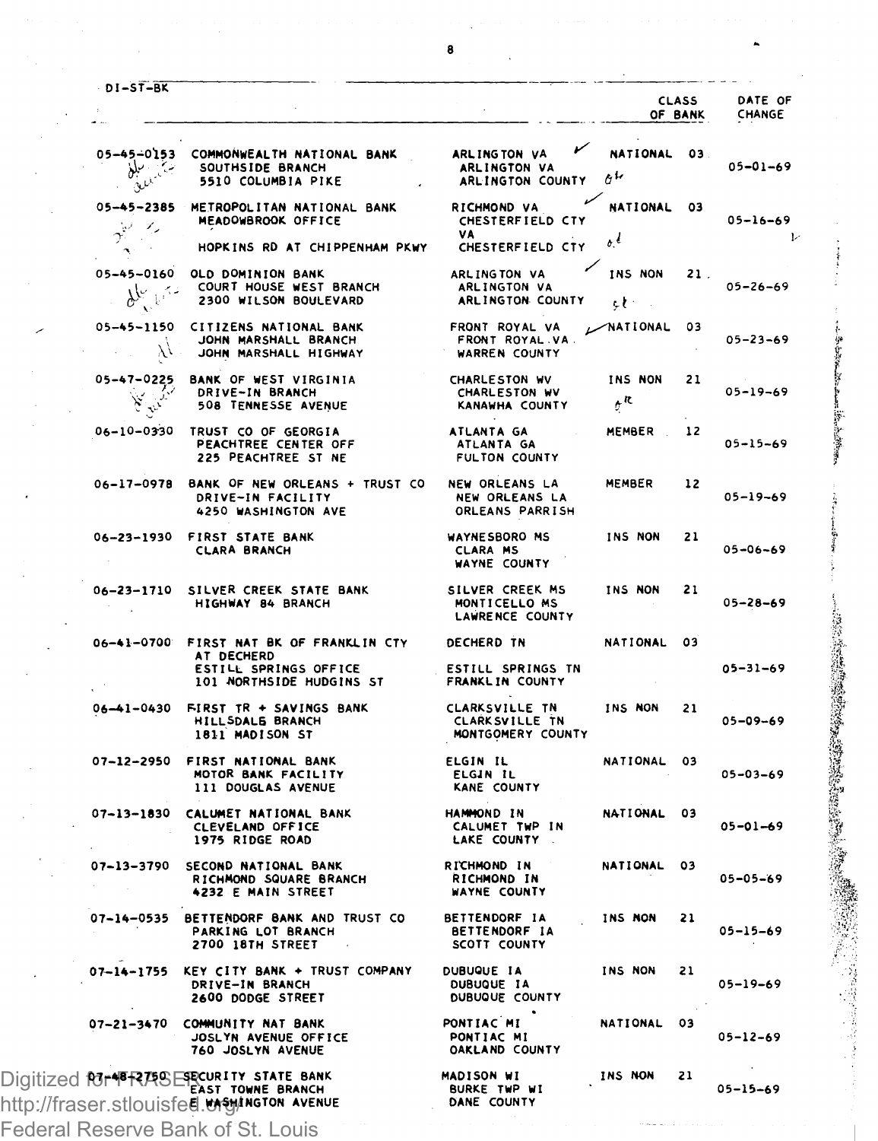| <b>DI-ST-BK</b>                                   |                                                                                                                        |                                                           |                                                | CLASS<br>OF BANK | DATE OF<br>CHANGE |
|---------------------------------------------------|------------------------------------------------------------------------------------------------------------------------|-----------------------------------------------------------|------------------------------------------------|------------------|-------------------|
| : اسبليغ<br>ښکې د ماندنۍ                          | 05-45-0153 COMMONWEALTH NATIONAL BANK<br>SOUTHSIDE BRANCH<br>5510 COLUMBIA PIKE                                        | ↙<br>ARLINGTON VA<br>ARLINGTON VA<br>ARLINGTON COUNTY     | NATIONAL 03<br>$\sigma^{\rm L}$                |                  | $05 - 01 - 69$    |
| $05 - 45 - 2385$<br>$\dot{\vec{\Sigma}}'$<br>-1,  | METROPOLITAN NATIONAL BANK<br>MEADOWBROOK OFFICE                                                                       | RICHMOND VA<br>CHESTERFIELD CTY<br>۷A                     | <b>NATIONAL</b>                                | - 03             | $05 - 16 - 69$    |
| $\mathbf{A}$                                      | HOPKINS RD AT CHIPPENHAM PKWY                                                                                          | CHESTERFIELD CTY                                          | $\cdot$                                        |                  |                   |
| 05-45-0160<br>يمها بيللي                          | OLD DOMINION BANK<br>COURT HOUSE WEST BRANCH<br>2300 WILSON BOULEVARD                                                  | ARLINGTON VA<br>ARLINGTON VA<br>ARLINGTON COUNTY          | INS NON<br>et :                                | 21.              | $05 - 26 - 69$    |
| 05-45-1150<br>y,                                  | CITIZENS NATIONAL BANK<br>JOHN MARSHALL BRANCH<br>JOHN MARSHALL HIGHWAY                                                | FRONT ROYAL VA<br>FRONT ROYAL VA.<br><b>WARREN COUNTY</b> | $\n  NATIONAL\n$                               | 03               | $05 - 23 - 69$    |
| 05-47-0225<br>$\widetilde{\mathbf{y}}$<br>المزيدا | <b>BANK OF WEST VIRGINIA</b><br>DRIVE-IN BRANCH<br>508 TENNESSE AVENUE                                                 | CHARLESTON WV<br>CHARLESTON WV<br>KANAWHA COUNTY          | INS NON<br>$\boldsymbol{\sigma}^{\mathcal{R}}$ | 21               | $05 - 19 - 69$    |
| 06-10-0330                                        | TRUST CO OF GEORGIA<br>PEACHTREE CENTER OFF<br>225 PEACHTREE ST NE                                                     | ATLANTA GA<br>ATLANTA GA<br>FULTON COUNTY                 | MEMBER                                         | 12               | $05 - 15 - 69$    |
| 06-17-0978                                        | BANK OF NEW ORLEANS + TRUST CO<br>DRIVE-IN FACILITY<br>4250 WASHINGTON AVE                                             | NEW ORLEANS LA<br>NEW ORLEANS LA<br>ORLEANS PARRISH       | MEMBER                                         | 12               | $05 - 19 - 69$    |
| 06-23-1930                                        | FIRST STATE BANK<br><b>CLARA BRANCH</b>                                                                                | WAYNE SBORO MS<br><b>CLARA MS</b><br>WAYNE COUNTY         | INS NON                                        | 21               | $05 - 06 - 69$    |
| $06 - 23 - 1710$                                  | SILVER CREEK STATE BANK<br>HIGHWAY 84 BRANCH                                                                           | SILVER CREEK MS<br>MONTICELLO MS<br>LAWRENCE COUNTY       | INS NON                                        | 21               | $05 - 28 - 69$    |
|                                                   | 06-41-0700 FIRST NAT BK OF FRANKLIN CTY<br>AT DECHERD<br>ESTILL SPRINGS OFFICE                                         | DECHERD TN<br>ESTILL SPRINGS TN                           | NATIONAL                                       | 03               | $05 - 31 - 69$    |
|                                                   | 101 NORTHSIDE HUDGINS ST                                                                                               | FRANKLIN COUNTY                                           |                                                |                  |                   |
| $06 - 1 - 0430$                                   | FIRST TR + SAVINGS BANK<br>HILLSDALE BRANCH<br>1811 MADISON ST                                                         | CLARKSVILLE TN<br>CLARK SVILLE TN<br>MONTGOMERY COUNTY    | INS NON                                        | 21               | $05 - 09 - 69$    |
| 07-12-2950                                        | FIRST NATIONAL BANK<br>MOTOR BANK FACILITY<br>111 DOUGLAS AVENUE                                                       | ELGIN IL<br>ELGIN IL<br>KANE COUNTY                       | NATIONAL                                       | 03               | $05 - 03 - 69$    |
| $07 - 13 - 1830$                                  | CALUMET NATIONAL BANK<br>CLEVELAND OFFICE<br>1975 RIDGE ROAD                                                           | <b>HANNOND IN</b><br>CALUMET TWP IN<br>LAKE COUNTY        | NATIONAL                                       | 03               | $05 - 01 - 69$    |
| 07-13-3790                                        | SECOND NATIONAL BANK<br>RICHMOND SQUARE BRANCH<br>4232 E MAIN STREET                                                   | RICHMOND IN<br>RICHMOND IN<br>WAYNE COUNTY                | NATIONAL                                       | 03               | $05 - 05 - 69$    |
| $07 - 14 - 0535$                                  | BETTENDORF BANK AND TRUST CO<br>PARKING LOT BRANCH<br>2700 18TH STREET                                                 | BETTENDORF IA<br><b>BETTENDORF IA</b><br>SCOTT COUNTY     | INS NON                                        | 21               | 05-15-69          |
| 07–14–1755                                        | KEY CITY BANK + TRUST COMPANY<br>DRIVE-IN BRANCH<br>2600 DODGE STREET                                                  | DUBUQUE IA<br>DUBUQUE IA<br>DUBUQUE COUNTY                | INS NON                                        | 21               | $05 - 19 - 69$    |
| 07-21-3470                                        | COMMUNITY NAT BANK<br>JOSLYN AVENUE OFFICE<br>760 JOSLYN AVENUE                                                        | PONTIAC MI<br>PONTIAC MI<br>OAKLAND COUNTY                | <b>NATIONAL</b>                                | 03               | $05 - 12 - 69$    |
|                                                   | Digitized for FRASE RECURITY STATE BANK<br>EAST TOWNE BRANCH<br>http://fraser.stlouisfed.w <del>s</del> yington.avenue | MADISON WI<br><b>BURKE TWP WI</b><br>DANE COUNTY          | INS NON                                        | 21               | $05 - 15 - 69$    |

Federal Reserve Bank of St. Louis

中华地方

「神社の大学の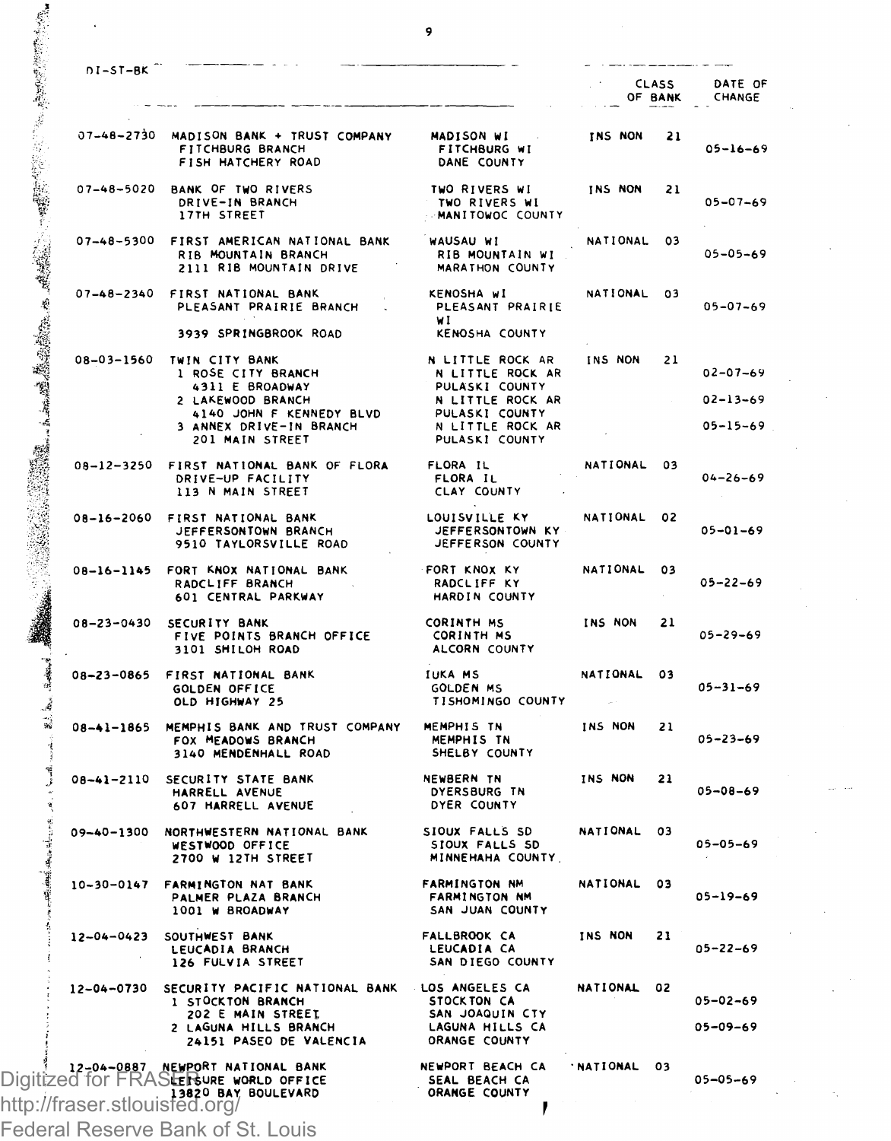| $DI-ST-BK$                    |                                                                                                                          |                                                                          |                 | <b>CLASS</b><br>OF BANK | DATE OF<br>CHANGE                |
|-------------------------------|--------------------------------------------------------------------------------------------------------------------------|--------------------------------------------------------------------------|-----------------|-------------------------|----------------------------------|
|                               | 07-48-2730 MADISON BANK + TRUST COMPANY<br>FITCHBURG BRANCH<br>FISH HATCHERY ROAD                                        | MADISON WI<br>FITCHBURG WI<br>DANE COUNTY                                | INS NON         | 21                      | $05 - 16 - 69$                   |
| $07 - 48 - 5020$              | BANK OF TWO RIVERS<br>DRIVE-IN BRANCH<br>17TH STREET                                                                     | TWO RIVERS WI<br>TWO RIVERS WI<br>-MANITOWOC COUNTY                      | INS NON         | 21                      | $05 - 07 - 69$                   |
| $07 - 48 - 5300$              | FIRST AMERICAN NATIONAL BANK<br>RIB MOUNTAIN BRANCH<br>2111 RIB MOUNTAIN DRIVE                                           | WAUSAU WI<br>RIB MOUNTAIN WI<br>MARATHON COUNTY                          | NATIONAL        | n3                      | $05 - 05 - 69$                   |
| $07 - 48 - 2340$              | FIRST NATIONAL BANK<br>PLEASANT PRAIRIE BRANCH<br>3939 SPRINGBROOK ROAD                                                  | KENOSHA WI<br>PLEASANT PRAIRIE<br>wI<br>KENOSHA COUNTY                   | NATIONAL        | 03                      | $05 - 07 - 69$                   |
| 08-03-1560                    | TWIN CITY BANK<br>1 ROSE CITY BRANCH<br>4311 E BROADWAY                                                                  | N LITTLE ROCK AR<br>N LITTLE ROCK AR<br>PULASKI COUNTY                   | <b>INS NON</b>  | 21                      | $02 - 07 - 69$                   |
|                               | LAKEWOOD BRANCH<br>4140 JOHN F KENNEDY BLVD<br>3 ANNEX DRIVE-IN BRANCH<br>201 MAIN STREET                                | N LITTLE ROCK AR<br>PULASKI COUNTY<br>N LITTLE ROCK AR<br>PULASKI COUNTY |                 |                         | $02 - 13 - 69$<br>$05 - 15 - 69$ |
| $08 - 12 - 3250$              | FIRST NATIONAL BANK OF FLORA<br>DRIVE-UP FACILITY<br>113 N MAIN STREET                                                   | FLORA IL<br>FLORA IL<br>CLAY COUNTY                                      | NATIONAL        | 03                      | $04 - 26 - 69$                   |
| 08-16-2060                    | FIRST NATIONAL BANK<br>JEFFERSONTOWN BRANCH<br>9510 TAYLORSVILLE ROAD                                                    | LOUISVILLE KY<br>JEFFERSONTOWN KY<br>JEFFERSON COUNTY                    | NATIONAL        | 02                      | $05 - 01 - 69$                   |
| 08-16-1145                    | FORT KNOX NATIONAL BANK<br>RADCLIFF BRANCH<br>601 CENTRAL PARKWAY                                                        | FORT KNOX KY<br>RADCLIFF KY<br>HARDIN COUNTY                             | NATIONAL        | 03                      | $05 - 22 - 69$                   |
| $08 - 23 - 0430$              | SECURITY BANK<br>FIVE POINTS BRANCH OFFICE<br>3101 SHILOH ROAD                                                           | CORINTH MS<br>CORINTH MS<br>ALCORN COUNTY                                | INS NON         | 21                      | $05 - 29 - 69$                   |
| $08 - 23 - 0865$              | FIRST NATIONAL BANK<br>GOLDEN OFFICE<br>OLD HIGHWAY 25                                                                   | <b>IUKA MS</b><br><b>GOLDEN MS</b><br>TISHOMINGO COUNTY                  | NATIONAL        | 03                      | $05 - 31 - 69$                   |
| $08 - 1 - 1865$               | MEMPHIS BANK AND TRUST COMPANY<br>FOX MEADOWS BRANCH<br>3140 MENDENHALL ROAD                                             | MEMPHIS TN<br>MEMPHIS TN<br>SHELBY COUNTY                                | INS NON         | 21                      | $05 - 23 - 69$                   |
| 08-41-2110                    | SECURITY STATE BANK<br>HARRELL AVENUE<br>607 HARRELL AVENUE                                                              | NEWBERN TN<br>DYERSBURG TN<br>DYER COUNTY                                | INS NON         | 21                      | $05 - 08 - 69$                   |
| $09 - 40 - 1300$              | NORTHWESTERN NATIONAL BANK<br>WESTWOOD OFFICE<br>2700 W 12TH STREET                                                      | SIOUX FALLS SD<br>SIOUX FALLS SD<br>MINNEHAHA COUNTY                     | <b>NATIONAL</b> | n3                      | $05 - 05 - 69$                   |
| $10 - 30 - 0147$              | FARMINGTON NAT BANK<br>PALMER PLAZA BRANCH<br>1001 W BROADWAY                                                            | <b>FARMINGTON NM</b><br><b>FARMINGTON NM</b><br>SAN JUAN COUNTY          | NATIONAL        | 03                      | $05 - 19 - 69$                   |
| $12 - 04 - 0423$              | SOUTHWEST BANK<br>LEUCADIA BRANCH<br>126 FULVIA STREET                                                                   | <b>FALLBROOK CA</b><br>LEUCADIA CA<br>SAN DIEGO COUNTY                   | INS NON         | 21                      | $05 - 22 - 69$                   |
| $12 - 04 - 0730$              | SECURITY PACIFIC NATIONAL BANK<br>1 STOCKTON BRANCH<br>202 E MAIN STREET<br>2 LAGUNA HILLS BRANCH                        | LOS ANGELES CA<br>STOCK TON CA<br>SAN JOAQUIN CTY<br>LAGUNA HILLS CA     | <b>NATIONAL</b> | 02                      | $05 - 02 - 69$<br>$05 - 09 - 69$ |
| http://fraser.stlouisfed.org/ | 24151 PASEO DE VALENCIA<br>12-04-0887 NEWPORT NATIONAL BANK<br>Digitized for FRASLER WORLD OFFICE<br>13820 BAY BOULEVARD | ORANGE COUNTY<br>NEWPORT BEACH CA<br>SEAL BEACH CA<br>ORANGE COUNTY      | <b>NATIONAL</b> | 03                      | 05-05-69                         |

Federal Reserve Bank of St. Louis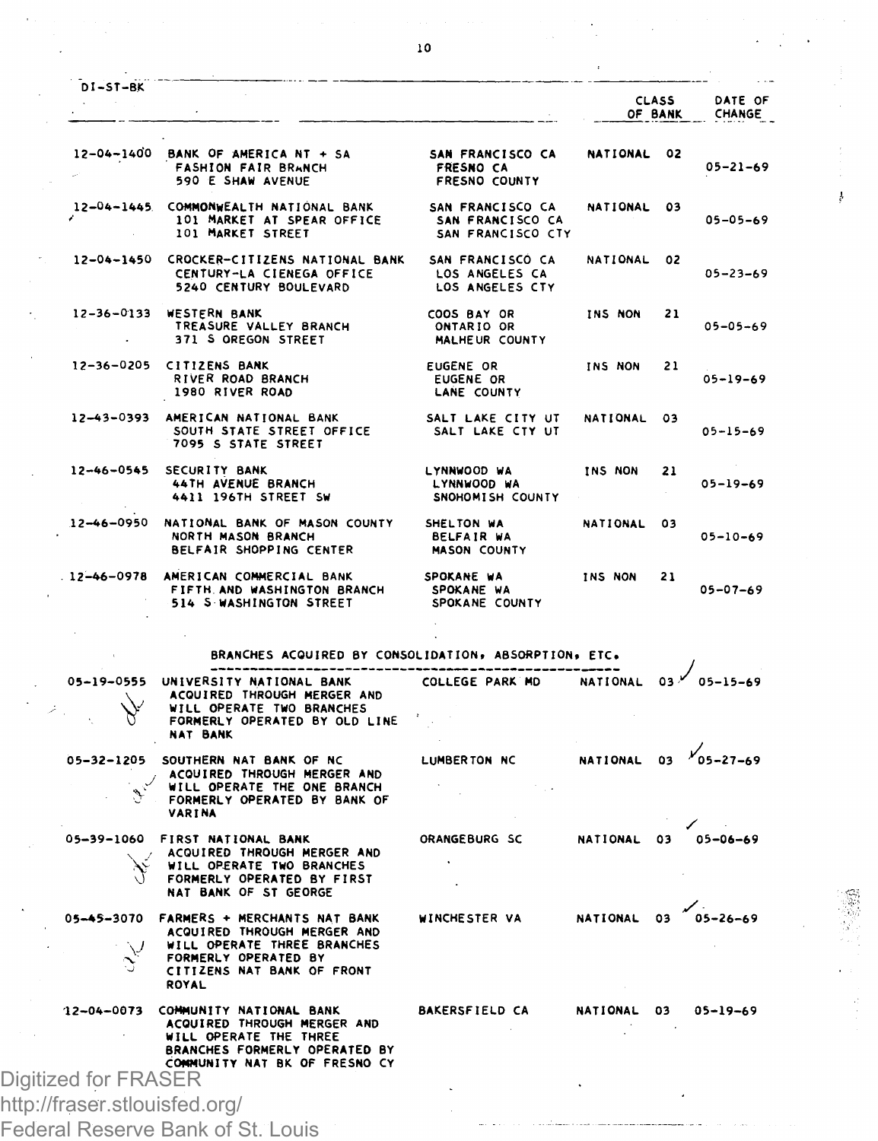|                                                       |                                                                                                                                                                      |                                                              |                       | OF BANK | DATE OF<br>CHANGE |
|-------------------------------------------------------|----------------------------------------------------------------------------------------------------------------------------------------------------------------------|--------------------------------------------------------------|-----------------------|---------|-------------------|
|                                                       | $12-04-1400$ BANK OF AMERICA NT + SA<br><b>FASHION FAIR BRANCH</b><br>590 E SHAW AVENUE                                                                              | SAN FRANCISCO CA<br><b>FRESNO CA</b><br><b>FRESNO COUNTY</b> | NATIONAL 02           |         | $05 - 21 - 69$    |
|                                                       | 12-04-1445 COMMONWEALTH NATIONAL BANK<br>101 MARKET AT SPEAR OFFICE<br>101 MARKET STREET                                                                             | SAN FRANCISCO CA<br>SAN FRANCISCO CA<br>SAN FRANCISCO CTY    | NATIONAL 03           |         | $05 - 05 - 69$    |
|                                                       | 12-04-1450 CROCKER-CITIZENS NATIONAL BANK<br>CENTURY-LA CIENEGA OFFICE<br>5240 CENTURY BOULEVARD                                                                     | SAN FRANCISCO CA<br>LOS ANGELES CA<br>LOS ANGELES CTY        | NATIONAL 02           |         | $05 - 23 - 69$    |
|                                                       | 12-36-0133 WESTERN BANK<br>TREASURE VALLEY BRANCH<br>371 S OREGON STREET                                                                                             | COOS BAY OR<br>ONTARIO OR<br>MALHEUR COUNTY                  | INS NON               | 21      | $05 - 05 - 69$    |
| $12 - 36 - 0205$                                      | CITIZENS BANK<br>RIVER ROAD BRANCH<br>1980 RIVER ROAD                                                                                                                | EUGENE OR<br><b>EUGENE OR</b><br>LANE COUNTY                 | INS NON               | 21      | $05 - 19 - 69$    |
|                                                       | 12-43-0393 AMERICAN NATIONAL BANK<br>SOUTH STATE STREET OFFICE<br>7095 S STATE STREET                                                                                | SALT LAKE CITY UT<br>SALT LAKE CTY UT                        | NATIONAL              | 03      | $05 - 15 - 69$    |
| $12 - 46 - 0545$                                      | SECURITY BANK<br>44TH AVENUE BRANCH<br>4411 196TH STREET SW                                                                                                          | LYNNWOOD WA<br>LYNNWOOD WA<br>SNOHOMISH COUNTY               | INS NON               | 21      | $05 - 19 - 69$    |
|                                                       | 12-46-0950 NATIONAL BANK OF MASON COUNTY<br>NORTH MASON BRANCH<br>BELFAIR SHOPPING CENTER                                                                            | SHELTON WA<br><b>BELFAIR WA</b><br><b>MASON COUNTY</b>       | NATIONAL              | 03      | $05 - 10 - 69$    |
|                                                       | 12-46-0978 AMERICAN COMMERCIAL BANK<br>FIFTH AND WASHINGTON BRANCH<br>514 S WASHINGTON STREET                                                                        | SPOKANE WA<br>SPOKANE WA<br>SPOKANE COUNTY                   | INS NON               | 21      | $05 - 07 - 69$    |
|                                                       | BRANCHES ACQUIRED BY CONSOLIDATION, ABSORPTION, ETC.                                                                                                                 |                                                              |                       |         |                   |
|                                                       | 05-19-0555 UNIVERSITY NATIONAL BANK<br>ACQUIRED THROUGH MERGER AND<br>WILL OPERATE TWO BRANCHES<br>FORMERLY OPERATED BY OLD LINE<br><b>NAT BANK</b>                  | COLLEGE PARK MD                                              | NATIONAL 03           |         | $05 - 15 - 69$    |
|                                                       | 05-32-1205 SOUTHERN NAT BANK OF NC<br>ACQUIRED THROUGH MERGER AND<br>WILL OPERATE THE ONE BRANCH<br>FORMERLY OPERATED BY BANK OF<br>VARINA                           | <b>LUMBERTON NC</b>                                          | NATIONAL 03 105-27-69 |         |                   |
|                                                       | 05-39-1060 FIRST NATIONAL BANK<br>ACQUIRED THROUGH MERGER AND<br>WILL OPERATE TWO BRANCHES<br>FORMERLY OPERATED BY FIRST<br>NAT BANK OF ST GEORGE                    | ORANGEBURG SC                                                | NATIONAL 03           |         | $05 - 06 - 69$    |
| ۱.                                                    | 05-45-3070 FARMERS + MERCHANTS NAT BANK<br>ACQUIRED THROUGH MERGER AND<br>WILL OPERATE THREE BRANCHES<br>FORMERLY OPERATED BY<br>CITIZENS NAT BANK OF FRONT<br>ROYAL | WINCHESTER VA                                                | NATIONAL 03           |         | $05 - 26 - 69$    |
|                                                       | 12-04-0073 COMMUNITY NATIONAL BANK<br>ACQUIRED THROUGH MERGER AND<br>WILL OPERATE THE THREE<br>BRANCHES FORMERLY OPERATED BY<br>COMMUNITY NAT BK OF FRESNO CY        | <b>BAKERSFIELD CA</b>                                        | NATIONAL 03           |         | $05 - 19 - 69$    |
| Digitized for FRASER<br>http://fraser.stlouisfed.org/ |                                                                                                                                                                      |                                                              |                       |         |                   |
|                                                       | Federal Reserve Bank of St. Louis                                                                                                                                    |                                                              |                       |         |                   |

 $\cdot$ 

 $\bar{t}$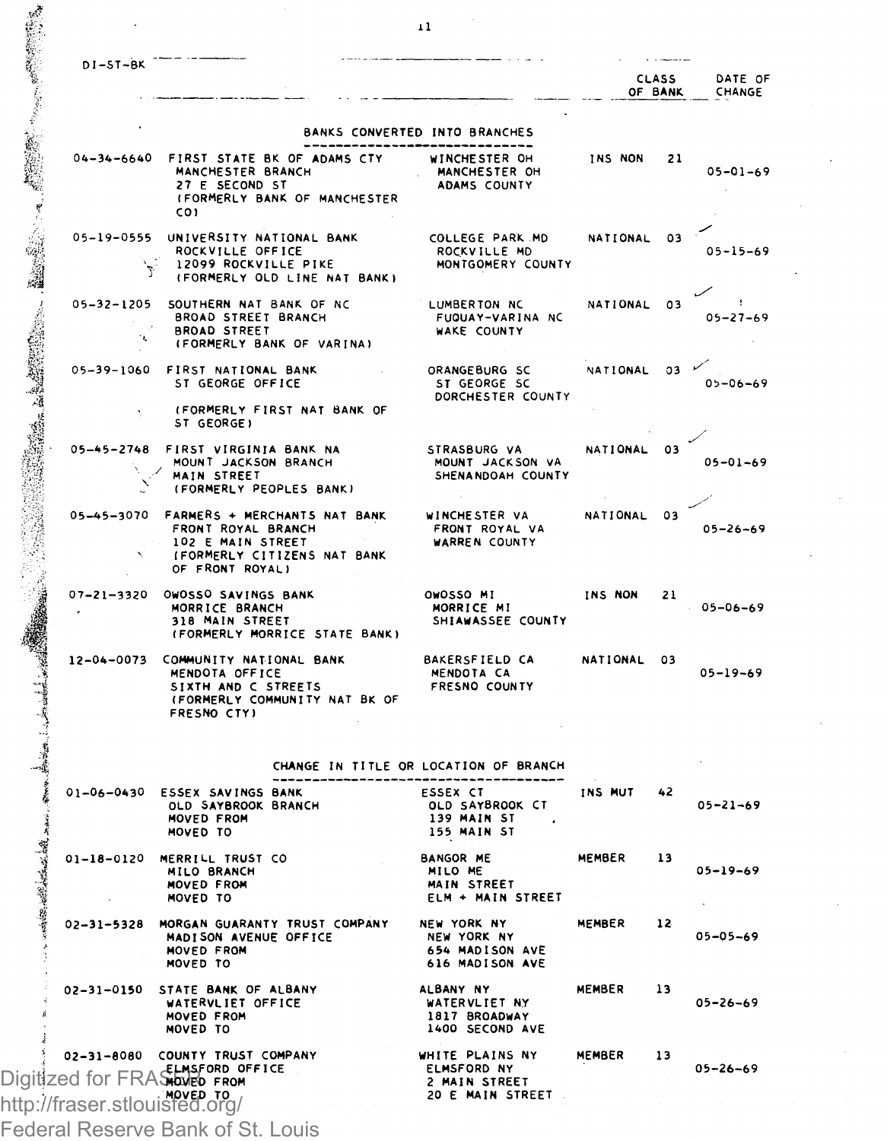| $n1 - ST - RK$ |  |  |  |  |  |  |  |
|----------------|--|--|--|--|--|--|--|
|                |  |  |  |  |  |  |  |

04-34-6640 FIRST STAT

「大学の学校の学校の「大学の学校の学校」、「アーバーの教授の学部、「大学の学校の学校の学校」、「学校の学校の学校の学校の学校」、「学校の学校の学校」、「学校の学校の学校、「大学の学校の学校」、「学校の

|                                                                                                          |                                                | <b>CLASS</b><br>OF BANK |    | DATE OF<br>CHANGE |
|----------------------------------------------------------------------------------------------------------|------------------------------------------------|-------------------------|----|-------------------|
|                                                                                                          | BANKS CONVERTED INTO BRANCHES                  |                         |    |                   |
| IRST STATE BK OF ADAMS CTY<br>MANCHESTER BRANCH<br>27 F SECOND ST<br>IFORMERLY BANK OF MANCHESTER<br>co۱ | WINCHESTER OH<br>MANCHESTER OH<br>ADAMS COUNTY | INS NON                 | 21 | $05 - 01 - 69$    |
| NIVERSITY NATIONAL BANK<br>ROCKVILLE OFFICE                                                              | COLLEGE PARK MD<br>ROCKVILLE MD                | NATIONAL                | 03 | $05 - 15 - 69$    |

 $05 - 26 - 69$ 

| 05-19-0555             | UNIVERSITY NATIONAL BANK<br>ROCKVILLE OFFICE<br>12099 ROCKVILLE PIKE<br>(FORMERLY OLD LINE NAT BANK)      | COLLEGE PARK MD<br>ROCKVILLE MD<br>MONTGOMERY COUNTY   | NATIONAL 03 | $05 - 15 - 69$       |  |
|------------------------|-----------------------------------------------------------------------------------------------------------|--------------------------------------------------------|-------------|----------------------|--|
| $05 - 32 - 1205$<br>76 | SOUTHERN NAT BANK OF NC<br><b>BROAD STREET BRANCH</b><br><b>BROAD STREET</b><br>(FORMERLY BANK OF VARINA) | LUMBERTON NC<br>FUQUAY-VARINA NC<br><b>WAKE COUNTY</b> | NATIONAL 03 | $05 - 27 - 69$       |  |
| 05-39-1060             | FIRST NATIONAL BANK<br>ST GEORGE OFFICE                                                                   | ORANGEBURG SC<br>ST GEORGE SC<br>DORCHESTER COUNTY     | NATIONAL    | 03<br>$05 - 06 - 69$ |  |

|            | (FORMERLY FIRST NAT BANK OF<br>ST GEORGE)                                                |                                                       |             |                |
|------------|------------------------------------------------------------------------------------------|-------------------------------------------------------|-------------|----------------|
| 05-45-2748 | FIRST VIRGINIA BANK NA<br>MOUNT JACKSON BRANCH<br>MAIN STREET<br>(FORMERLY PEOPLES BANK) | STRASBURG VA<br>MOUNT JACKSON VA<br>SHENANDOAH COUNTY | NATIONAL 03 | $05 - 01 - 69$ |
|            | 05-45-3070 FARMERS + MERCHANTS NAT BANK                                                  | WINCHESTER VA                                         | NATIONAL    | 03             |

| 05-45-3070 FARMERS + MERCHANTS NAT BANK | WINCHESTER VA        |
|-----------------------------------------|----------------------|
| FRONT ROYAL BRANCH                      | FRONT ROYAL VA       |
| 102 E MAIN STRFET                       | <b>WARREN COUNTY</b> |
| (FORMERLY CITIZENS NAT BANK             |                      |
| OF FRONT ROYAL)                         |                      |

| $07 - 21 - 3320$ | OWOSSO SAVINGS BANK<br>MORRICE BRANCH<br>318 MAIN STREET<br>(FORMERLY MORRICE STATE BANK)                               | OWOSSO MI<br>MORRICE MI<br>SHIAWASSEE COUNTY                | INS NON     | 21 | $05 - 06 - 69$ |
|------------------|-------------------------------------------------------------------------------------------------------------------------|-------------------------------------------------------------|-------------|----|----------------|
| 12-04-0073       | COMMUNITY NATIONAL BANK<br>MENDOTA OFFICE<br>SIXTH AND C STREETS<br>(FORMERLY COMMUNITY NAT BK OF<br><b>FRESNO CTY1</b> | <b>BAKERSFIELD CA</b><br><b>MENDOTA CA</b><br>FRESNO COUNTY | NATIONAL 03 |    | $05 - 19 - 69$ |

|  |  |  |  | CHANGE IN TITLE OR LOCATION OF BRANCH |  |  |
|--|--|--|--|---------------------------------------|--|--|
|--|--|--|--|---------------------------------------|--|--|

|          | N.                                                          | (FORMERLY CITIZENS NAT BANK<br>OF FRONT ROYALI                                                                                                                                         |                                                                    |                   |    |                |
|----------|-------------------------------------------------------------|----------------------------------------------------------------------------------------------------------------------------------------------------------------------------------------|--------------------------------------------------------------------|-------------------|----|----------------|
|          |                                                             | 07-21-3320 OWOSSO SAVINGS BANK<br>MORRICE BRANCH<br>318 MAIN STREET SHIAWASSEE COUNTY<br>(FORMERLY MORRICE STATE BANK)                                                                 | OWOSSO MI INS NON<br>MORRICE MI                                    |                   | 21 | $05 - 06 - 65$ |
|          |                                                             | 12-04-0073 COMMUNITY NATIONAL BANK BAKERSFIELD CA NATIONAL 03<br>MENDOTA OFFICE MENDOTA CA<br>SIXTH AND C STREETS FRESNO COUNTY<br>(FORMERLY COMMUNITY NAT BK OF<br><b>FRESNO CTYL</b> | MENDOTA CA                                                         |                   |    | $05 - 19 - 69$ |
|          |                                                             |                                                                                                                                                                                        | CHANGE IN TITLE OR LOCATION OF BRANCH                              |                   |    |                |
|          |                                                             | 01-06-0430 ESSEX SAVINGS BANK<br>OLD SAYBROOK BRANCH OLD SAYBROOK CT<br><b>MOVED FROM</b><br>MOVED TO                                                                                  | <b>ESSEX CT</b><br>139 MAIN ST<br>155 MAIN ST                      | <b>INS MUT 42</b> |    | $05 - 21 - 69$ |
| 有限情報的更新有 |                                                             | 01-18-0120 MERRILL TRUST CO<br>MILO BRANCH<br>MOVED FROM<br>MOVED TO                                                                                                                   | BANGOR ME MEMBER 13<br>MILO ME<br>MAIN STREET<br>ELM + MAIN STREET |                   |    | $05 - 19 - 69$ |
|          |                                                             | 02-31-5328 MORGAN GUARANTY TRUST COMPANY NEW YORK NY MEMBER 12<br>MADISON AVENUE OFFICE NEW YORK NY<br>MOVED FROM<br>MOVED TO                                                          | 654 MADISON AVE<br>616 MADISON AVE                                 |                   |    | $05 - 05 - 69$ |
|          |                                                             | 02-31-0150 STATE BANK OF ALBANY ALBANY NY<br>WATERVLIET OFFICE<br><b>MOVED FROM</b><br>MOVED TO                                                                                        | WATERVLIET NY<br>1817 BROADWAY<br>1400 SECOND AVE                  | MEMBER 13         |    | $05 - 26 - 69$ |
|          | Digitized for FRAS by FROM<br>http://fraser.stlouisfed.org/ | 02–31–8080 COUNTY TRUST COMPANY WHITE PLAINS NY MEMBER 13<br>  ELMSFORD OFFICE   ELMSFORD NY LENSFORD NY<br>  MOVED TO , NOTED TO , 200 E MAIN STREET<br>. MOVED TO                    | <b>20 E MAIN STREET</b>                                            |                   |    | $05 - 26 - 69$ |
|          |                                                             |                                                                                                                                                                                        |                                                                    |                   |    |                |

Federal Reserve Bank of St. Louis

**STATISTICS**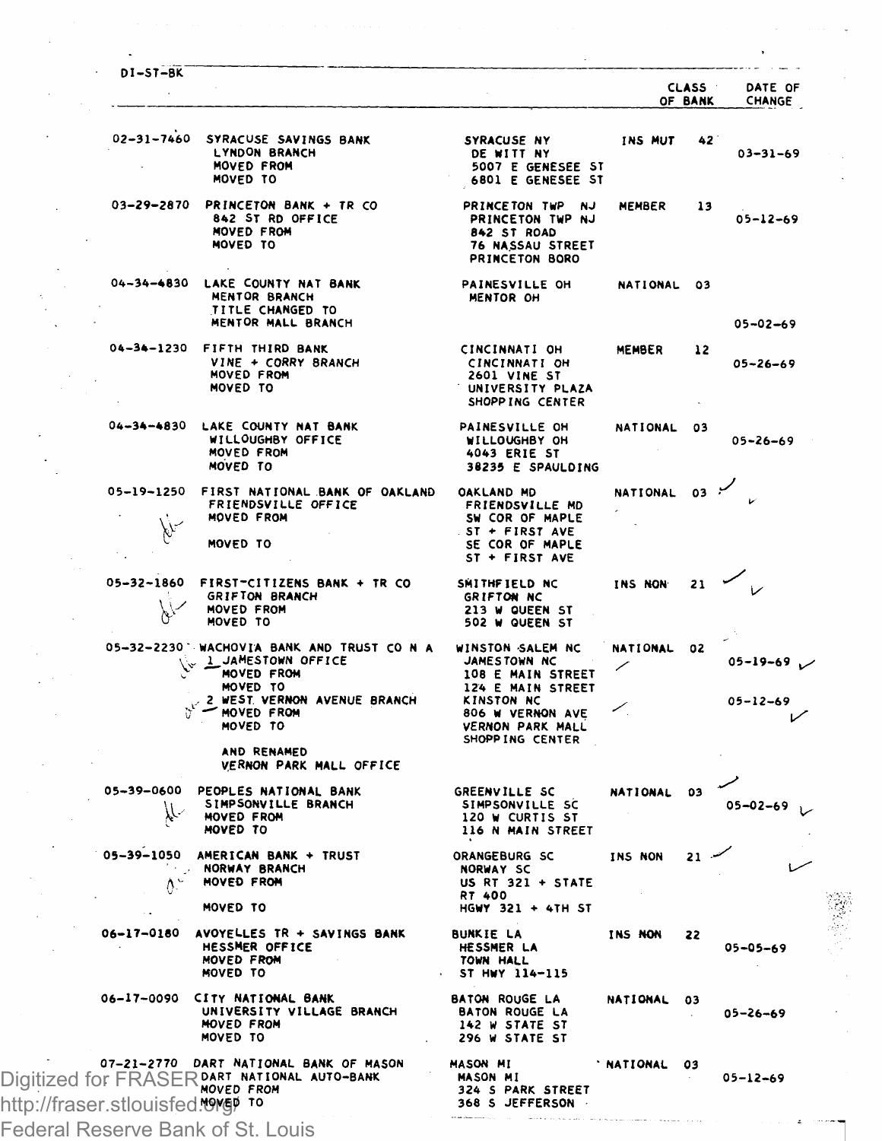|                                 |                                                                                                                                                      |                                                                                                                                  |                 | <b>CLASS</b><br>OF BANK | DATE OF<br>CHANGE                |
|---------------------------------|------------------------------------------------------------------------------------------------------------------------------------------------------|----------------------------------------------------------------------------------------------------------------------------------|-----------------|-------------------------|----------------------------------|
| $02 - 31 - 7460$                | SYRACUSE SAVINGS BANK<br>LYNDON BRANCH<br><b>MOVED FROM</b><br>MOVED TO                                                                              | SYRACUSE NY<br>DE WITT NY<br>5007 E GENESEE ST<br>6801 E GENESEE ST                                                              | INS MUT         | 42                      | $03 - 31 - 69$                   |
| 03-29-2870                      | PRINCETON BANK + TR CO<br>842 ST RD OFFICE<br>MOVED FROM<br>MOVED TO                                                                                 | PRINCETON TWP NJ<br>PRINCETON TWP NJ<br>842 ST ROAD<br>76 NASSAU STREET<br>PRINCETON BORO                                        | <b>MEMBER</b>   | 13                      | $05 - 12 - 69$                   |
| 04-34-4830                      | LAKE COUNTY NAT BANK<br>MENTOR BRANCH<br>TITLE CHANGED TO<br>MENTOR MALL BRANCH                                                                      | PAINESVILLE OH<br>MENTOR OH                                                                                                      | NATIONAL 03     |                         |                                  |
|                                 | 04-34-1230 FIFTH THIRD BANK<br>VINE + CORRY BRANCH<br><b>MOVED FROM</b><br>MOVED TO                                                                  | CINCINNATI OH<br>CINCINNATI OH<br>2601 VINE ST<br>UNIVERSITY PLAZA<br>SHOPP ING CENTER                                           | MEMBER          | 12                      | $05 - 02 - 69$<br>$05 - 26 - 69$ |
| $04 - 34 - 4830$                | LAKE COUNTY NAT BANK<br>WILLOUGHBY OFFICE<br>MOVED FROM<br>MOVED TO                                                                                  | PAINESVILLE OH<br>WILLOUGHBY OH<br>4043 ERIE ST<br>38235 E SPAULDING                                                             | NATIONAL        | 03                      | $05 - 26 - 69$                   |
| 05-19-1250                      | FIRST NATIONAL BANK OF OAKLAND<br>FRIENDSVILLE OFFICE<br>MOVED FROM<br>MOVED TO                                                                      | OAKLAND MD<br><b>FRIENDSVILLE MD</b><br>SW COR OF MAPLE<br>$ST + FIRST AVE$<br>SE COR OF MAPLE<br>ST + FIRST AVE                 | <b>NATIONAL</b> | 03                      |                                  |
| 05-32-1860<br>bY                | FIRST-CITIZENS BANK + TR CO<br>GRIFTON BRANCH<br>MOVED FROM<br>MOVED TO                                                                              | SMITHFIELD NC<br>GRIFTON NC<br>213 W QUEEN ST<br>502 W QUEEN ST                                                                  | INS NON         | 21                      |                                  |
|                                 | 05-32-2230 WACHOVIA BANK AND TRUST CO N A<br>L JAMESTOWN OFFICE<br>MOVED FROM<br>MOVED TO<br>2 WEST VERNON AVENUE BRANCH<br>- MOVED FROM<br>MOVED TO | WINSTON SALEM NC<br>JAMESTOWN NC<br>108 E MAIN STREET<br>124 E MAIN STREET<br>KINSTON NC<br>806 W VERNON AVE<br>VERNON PARK MALL | NATIONAL        | 02                      | $05 - 19 - 69$<br>$05 - 12 - 69$ |
|                                 | AND RENAMED<br>VERNON PARK MALL OFFICE                                                                                                               | SHOPP ING CENTER                                                                                                                 |                 |                         |                                  |
| 05-39-0600                      | PEOPLES NATIONAL BANK<br>SIMPSONVILLE BRANCH<br>MOVED FROM<br>MOVED TO                                                                               | GREENVILLE SC<br>SIMPSONVILLE SC<br>120 W CURTIS ST<br>116 N MAIN STREET                                                         | NATIONAL 03     |                         | $05 - 02 - 69$                   |
| $\Lambda$ -                     | 05-39-1050 AMERICAN BANK + TRUST<br>NORWAY BRANCH<br>MOVED FROM<br>MOVED TO                                                                          | ORANGEBURG SC<br><b>NORWAY SC</b><br>US RT 321 + STATE<br>RT 400<br>HGWY 321 + 4TH ST                                            | INS NON         | $21 -$                  |                                  |
| 06-17-0180                      | AVOYELLES TR + SAVINGS BANK<br>HESSMER OFFICE<br>MOVED FROM<br>MOVED TO                                                                              | <b>BUNKIE LA</b><br>HESSMER LA<br>TOWN HALL<br>ST HWY 114-115                                                                    | INS NON         | 22                      | 05-05-69                         |
|                                 | 06-17-0090 CITY NATIONAL BANK<br>UNIVERSITY VILLAGE BRANCH<br><b>MOVED FROM</b><br>MOVED TO                                                          | <b>BATON ROUGE LA</b><br><b>BATON ROUGE LA</b><br>142 W STATE ST<br>296 W STATE ST                                               | <b>NATIONAL</b> | 03                      | $05 - 26 - 69$                   |
| http://fraser.stlouisfed. 976 P | 07-21-2770 DART NATIONAL BANK OF MASON<br>Digitized for FRASER BART NATIONAL AUTO-BANK                                                               | MASON MI<br>MASON MI<br>324 S PARK STREET<br>368 S JEFFERSON                                                                     | <b>NATIONAL</b> | 03                      | $05 - 12 - 69$                   |